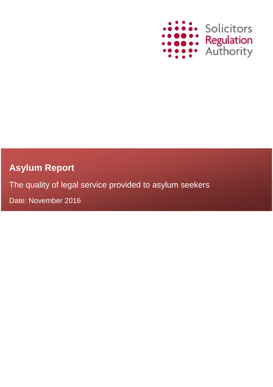

# **Asylum Report**

The quality of legal service provided to asylum seekers

Date: November 2016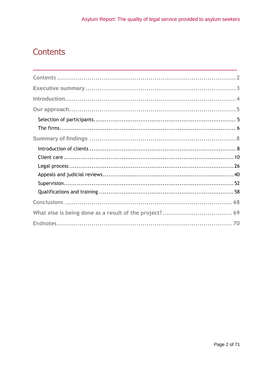# <span id="page-1-0"></span>Contents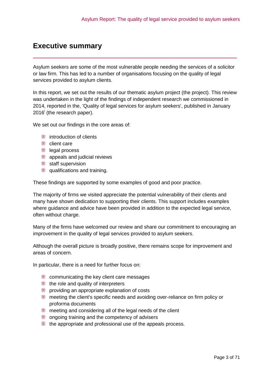## <span id="page-2-0"></span>**Executive summary**

Asylum seekers are some of the most vulnerable people needing the services of a solicitor or law firm. This has led to a number of organisations focusing on the quality of legal services provided to asylum clients.

\_\_\_\_\_\_\_\_\_\_\_\_\_\_\_\_\_\_\_\_\_\_\_\_\_\_\_\_\_\_\_\_\_\_\_\_\_\_\_\_\_\_\_\_\_\_\_\_\_\_

In this report, we set out the results of our thematic asylum project (the project). This review was undertaken in the light of the findings of independent research we commissioned in 2014, reported in the, 'Quality of legal services for asylum seekers', published in January 2016<sup>i</sup> (the research paper).

We set out our findings in the core areas of:

- **introduction of clients**
- client care
- **legal process**
- **a** appeals and judicial reviews
- **staff supervision**
- qualifications and training.

These findings are supported by some examples of good and poor practice.

The majority of firms we visited appreciate the potential vulnerability of their clients and many have shown dedication to supporting their clients. This support includes examples where guidance and advice have been provided in addition to the expected legal service, often without charge.

Many of the firms have welcomed our review and share our commitment to encouraging an improvement in the quality of legal services provided to asylum seekers.

Although the overall picture is broadly positive, there remains scope for improvement and areas of concern.

In particular, there is a need for further focus on:

- communicating the key client care messages
- the role and quality of interpreters
- providing an appropriate explanation of costs
- meeting the client's specific needs and avoiding over-reliance on firm policy or proforma documents
- **EXECUTE:** meeting and considering all of the legal needs of the client
- **■** ongoing training and the competency of advisers
- the appropriate and professional use of the appeals process.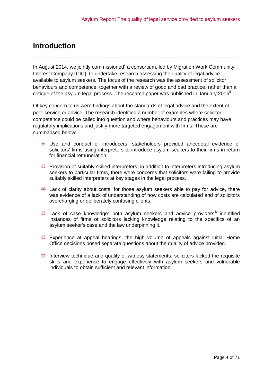## <span id="page-3-0"></span>**Introduction**

In August 2014, we jointly commissioned a consortium, led by Migration Work Community Interest Company (CIC), to undertake research assessing the quality of legal advice available to asylum seekers. The focus of the research was the assessment of solicitor behaviours and competence, together with a review of good and bad practice, rather than a critique of the asylum legal process. The research paper was published in January 2016<sup>iii</sup>.

\_\_\_\_\_\_\_\_\_\_\_\_\_\_\_\_\_\_\_\_\_\_\_\_\_\_\_\_\_\_\_\_\_\_\_\_\_\_\_\_\_\_\_\_\_\_\_\_\_\_

Of key concern to us were findings about the standards of legal advice and the extent of poor service or advice. The research identified a number of examples where solicitor competence could be called into question and where behaviours and practices may have regulatory implications and justify more targeted engagement with firms. These are summarised below:

- Use and conduct of introducers: stakeholders provided anecdotal evidence of solicitors' firms using interpreters to introduce asylum seekers to their firms in return for financial remuneration.
- Provision of suitably skilled interpreters: in addition to interpreters introducing asylum seekers to particular firms, there were concerns that solicitors were failing to provide suitably skilled interpreters at key stages in the legal process.
- **Lack of clarity about costs: for those asylum seekers able to pay for advice, there** was evidence of a lack of understanding of how costs are calculated and of solicitors overcharging or deliberately confusing clients.
- **Lack of case knowledge: both asylum seekers and advice providers**<sup>iv</sup> identified instances of firms or solicitors lacking knowledge relating to the specifics of an asylum seeker's case and the law underpinning it.
- Experience at appeal hearings: the high volume of appeals against initial Home Office decisions posed separate questions about the quality of advice provided.
- Interview technique and quality of witness statements: solicitors lacked the requisite skills and experience to engage effectively with asylum seekers and vulnerable individuals to obtain sufficient and relevant information.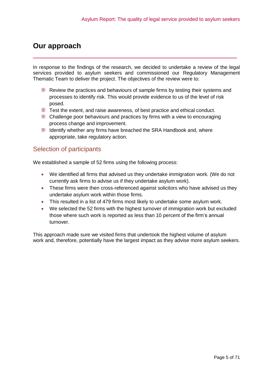## <span id="page-4-0"></span>**Our approach**

In response to the findings of the research, we decided to undertake a review of the legal services provided to asylum seekers and commissioned our Regulatory Management Thematic Team to deliver the project. The objectives of the review were to:

\_\_\_\_\_\_\_\_\_\_\_\_\_\_\_\_\_\_\_\_\_\_\_\_\_\_\_\_\_\_\_\_\_\_\_\_\_\_\_\_\_\_\_\_\_\_\_\_\_\_

- Review the practices and behaviours of sample firms by testing their systems and processes to identify risk. This would provide evidence to us of the level of risk posed.
- Test the extent, and raise awareness, of best practice and ethical conduct.
- Challenge poor behaviours and practices by firms with a view to encouraging process change and improvement.
- Identify whether any firms have breached the SRA Handbook and, where appropriate, take regulatory action.

## <span id="page-4-1"></span>Selection of participants

We established a sample of 52 firms using the following process:

- We identified all firms that advised us they undertake immigration work. (We do not currently ask firms to advise us if they undertake asylum work).
- These firms were then cross-referenced against solicitors who have advised us they undertake asylum work within those firms.
- This resulted in a list of 479 firms most likely to undertake some asylum work.
- We selected the 52 firms with the highest turnover of immigration work but excluded those where such work is reported as less than 10 percent of the firm's annual turnover.

This approach made sure we visited firms that undertook the highest volume of asylum work and, therefore, potentially have the largest impact as they advise more asylum seekers.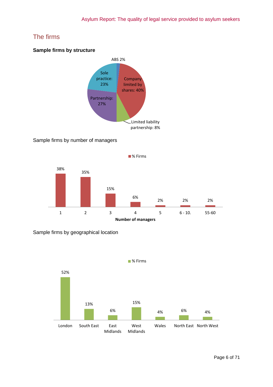## <span id="page-5-0"></span>The firms

#### **Sample firms by structure**



## Sample firms by number of managers



Sample firms by geographical location

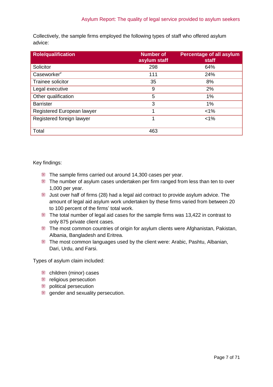Collectively, the sample firms employed the following types of staff who offered asylum advice:

| <b>Role/qualification</b>  | <b>Number of</b><br>asylum staff | <b>Percentage of all asylum</b><br>staff |
|----------------------------|----------------------------------|------------------------------------------|
| Solicitor                  | 298                              | 64%                                      |
| Caseworker <sup>v</sup>    | 111                              | 24%                                      |
| Trainee solicitor          | 35                               | 8%                                       |
| Legal executive            | 9                                | 2%                                       |
| Other qualification        | 5                                | 1%                                       |
| <b>Barrister</b>           | 3                                | 1%                                       |
| Registered European lawyer |                                  | $< 1\%$                                  |
| Registered foreign lawyer  | 1                                | $< 1\%$                                  |
| Total                      | 463                              |                                          |

Key findings:

- The sample firms carried out around 14,300 cases per year.
- The number of asylum cases undertaken per firm ranged from less than ten to over 1,000 per year.
- Just over half of firms (28) had a legal aid contract to provide asylum advice. The amount of legal aid asylum work undertaken by these firms varied from between 20 to 100 percent of the firms' total work.
- The total number of legal aid cases for the sample firms was 13,422 in contrast to only 875 private client cases.
- The most common countries of origin for asylum clients were Afghanistan, Pakistan, Albania, Bangladesh and Eritrea.
- The most common languages used by the client were: Arabic, Pashtu, Albanian, Dari, Urdu, and Farsi.

Types of asylum claim included:

- children (minor) cases
- **Figure 1** religious persecution
- **DED** political persecution
- gender and sexuality persecution.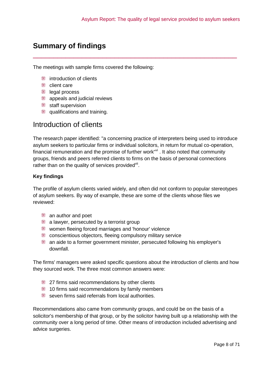## <span id="page-7-0"></span>**Summary of findings**

The meetings with sample firms covered the following:

- **introduction of clients**
- client care
- **legal process**
- **appeals and judicial reviews**
- staff supervision
- **qualifications and training.**

## <span id="page-7-1"></span>Introduction of clients

The research paper identified: "a concerning practice of interpreters being used to introduce asylum seekers to particular firms or individual solicitors, in return for mutual co-operation, financial remuneration and the promise of further work"<sup>vi</sup>. It also noted that community groups, friends and peers referred clients to firms on the basis of personal connections rather than on the quality of services provided<sup>vii</sup>.

\_\_\_\_\_\_\_\_\_\_\_\_\_\_\_\_\_\_\_\_\_\_\_\_\_\_\_\_\_\_\_\_\_\_\_\_\_\_\_\_\_\_\_\_\_\_\_\_\_\_

## **Key findings**

The profile of asylum clients varied widely, and often did not conform to popular stereotypes of asylum seekers. By way of example, these are some of the clients whose files we reviewed:

- **an author and poet**
- **a** lawyer, persecuted by a terrorist group
- women fleeing forced marriages and 'honour' violence
- conscientious objectors, fleeing compulsory military service
- an aide to a former government minister, persecuted following his employer's downfall.

The firms' managers were asked specific questions about the introduction of clients and how they sourced work. The three most common answers were:

- **27 firms said recommendations by other clients**
- $\blacksquare$  10 firms said recommendations by family members
- seven firms said referrals from local authorities

Recommendations also came from community groups, and could be on the basis of a solicitor's membership of that group, or by the solicitor having built up a relationship with the community over a long period of time. Other means of introduction included advertising and advice surgeries.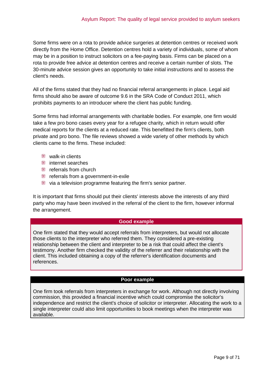Some firms were on a rota to provide advice surgeries at detention centres or received work directly from the Home Office. Detention centres hold a variety of individuals, some of whom may be in a position to instruct solicitors on a fee-paying basis. Firms can be placed on a rota to provide free advice at detention centres and receive a certain number of slots. The 30-minute advice session gives an opportunity to take initial instructions and to assess the client's needs.

All of the firms stated that they had no financial referral arrangements in place. Legal aid firms should also be aware of outcome 9.6 in the SRA Code of Conduct 2011, which prohibits payments to an introducer where the client has public funding.

Some firms had informal arrangements with charitable bodies. For example, one firm would take a few pro bono cases every year for a refugee charity, which in return would offer medical reports for the clients at a reduced rate. This benefitted the firm's clients, both private and pro bono. The file reviews showed a wide variety of other methods by which clients came to the firms. These included:

- **Walk-in clients**
- **illi** internet searches
- **Form** referrals from church
- **Fig.** referrals from a government-in-exile
- via a television programme featuring the firm's senior partner.

It is important that firms should put their clients' interests above the interests of any third party who may have been involved in the referral of the client to the firm, however informal the arrangement.

#### **Good example**

One firm stated that they would accept referrals from interpreters, but would not allocate those clients to the interpreter who referred them. They considered a pre-existing relationship between the client and interpreter to be a risk that could affect the client's testimony. Another firm checked the validity of the referrer and their relationship with the client. This included obtaining a copy of the referrer's identification documents and references.

#### **Poor example**

One firm took referrals from interpreters in exchange for work. Although not directly involving commission, this provided a financial incentive which could compromise the solicitor's independence and restrict the client's choice of solicitor or interpreter. Allocating the work to a single interpreter could also limit opportunities to book meetings when the interpreter was available.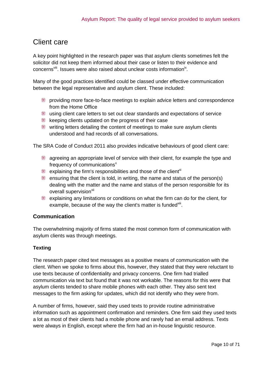## <span id="page-9-0"></span>Client care

A key point highlighted in the research paper was that asylum clients sometimes felt the solicitor did not keep them informed about their case or listen to their evidence and concerns<sup>viii</sup>. Issues were also raised about unclear costs information<sup>ix</sup>.

Many of the good practices identified could be classed under effective communication between the legal representative and asylum client. These included:

- providing more face-to-face meetings to explain advice letters and correspondence from the Home Office
- using client care letters to set out clear standards and expectations of service
- keeping clients updated on the progress of their case
- writing letters detailing the content of meetings to make sure asylum clients understood and had records of all conversations.

The SRA Code of Conduct 2011 also provides indicative behaviours of good client care:

- **EXECUTE:** agreeing an appropriate level of service with their client, for example the type and frequency of communications<sup>x</sup>
- explaining the firm's responsibilities and those of the client<sup>xi</sup>
- **EXECUTE:** ensuring that the client is told, in writing, the name and status of the person(s) dealing with the matter and the name and status of the person responsible for its overall supervision<sup>xii</sup>
- ₩ explaining any limitations or conditions on what the firm can do for the client, for example, because of the way the client's matter is funded xill.

## **Communication**

The overwhelming majority of firms stated the most common form of communication with asylum clients was through meetings.

## **Texting**

The research paper cited text messages as a positive means of communication with the client. When we spoke to firms about this, however, they stated that they were reluctant to use texts because of confidentiality and privacy concerns. One firm had trialled communication via text but found that it was not workable. The reasons for this were that asylum clients tended to share mobile phones with each other. They also sent text messages to the firm asking for updates, which did not identify who they were from.

A number of firms, however, said they used texts to provide routine administrative information such as appointment confirmation and reminders. One firm said they used texts a lot as most of their clients had a mobile phone and rarely had an email address. Texts were always in English, except where the firm had an in-house linguistic resource.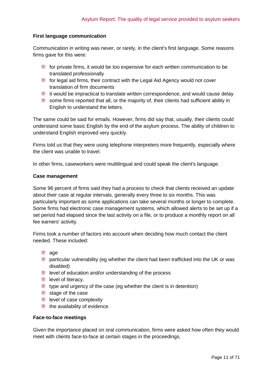#### **First language communication**

Communication in writing was never, or rarely, in the client's first language. Some reasons firms gave for this were:

- for private firms, it would be too expensive for each written communication to be translated professionally
- for legal aid firms, their contract with the Legal Aid Agency would not cover translation of firm documents
- $\ddot{\equiv}$  it would be impractical to translate written correspondence, and would cause delay
- some firms reported that all, or the majority of, their clients had sufficient ability in English to understand the letters.

The same could be said for emails. However, firms did say that, usually, their clients could understand some basic English by the end of the asylum process. The ability of children to understand English improved very quickly.

Firms told us that they were using telephone interpreters more frequently, especially where the client was unable to travel.

In other firms, caseworkers were multilingual and could speak the client's language.

#### **Case management**

Some 96 percent of firms said they had a process to check that clients received an update about their case at regular intervals, generally every three to six months. This was particularly important as some applications can take several months or longer to complete. Some firms had electronic case management systems, which allowed alerts to be set up if a set period had elapsed since the last activity on a file, or to produce a monthly report on all fee earners' activity.

Firms took a number of factors into account when deciding how much contact the client needed. These included:

- <sub>■</sub> age
- particular vulnerability (eg whether the client had been trafficked into the UK or was disabled)
- level of education and/or understanding of the process
- level of literacy.
- type and urgency of the case (eg whether the client is in detention)
- $\mathbb{R}$  stage of the case
- level of case complexity
- the availability of evidence.

#### **Face-to-face meetings**

Given the importance placed on oral communication, firms were asked how often they would meet with clients face-to-face at certain stages in the proceedings.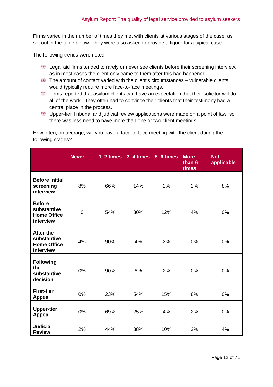Firms varied in the number of times they met with clients at various stages of the case, as set out in the table below. They were also asked to provide a figure for a typical case.

The following trends were noted:

- Legal aid firms tended to rarely or never see clients before their screening interview, as in most cases the client only came to them after this had happened.
- $\blacksquare$  The amount of contact varied with the client's circumstances vulnerable clients would typically require more face-to-face meetings.
- Firms reported that asylum clients can have an expectation that their solicitor will do all of the work – they often had to convince their clients that their testimony had a central place in the process.
- Upper-tier Tribunal and judicial review applications were made on a point of law, so there was less need to have more than one or two client meetings.

How often, on average, will you have a face-to-face meeting with the client during the following stages?

|                                                                    | <b>Never</b>   |     | $1-2$ times $3-4$ times $5-6$ times |     | <b>More</b><br>than 6<br>times | <b>Not</b><br>applicable |
|--------------------------------------------------------------------|----------------|-----|-------------------------------------|-----|--------------------------------|--------------------------|
| <b>Before initial</b><br>screening<br>interview                    | 8%             | 66% | 14%                                 | 2%  | 2%                             | 8%                       |
| <b>Before</b><br>substantive<br><b>Home Office</b><br>interview    | $\overline{0}$ | 54% | 30%                                 | 12% | 4%                             | 0%                       |
| <b>After the</b><br>substantive<br><b>Home Office</b><br>interview | 4%             | 90% | 4%                                  | 2%  | 0%                             | 0%                       |
| <b>Following</b><br>the<br>substantive<br>decision                 | 0%             | 90% | 8%                                  | 2%  | 0%                             | 0%                       |
| <b>First-tier</b><br><b>Appeal</b>                                 | 0%             | 23% | 54%                                 | 15% | 8%                             | 0%                       |
| <b>Upper-tier</b><br><b>Appeal</b>                                 | 0%             | 69% | 25%                                 | 4%  | 2%                             | 0%                       |
| <b>Judicial</b><br><b>Review</b>                                   | 2%             | 44% | 38%                                 | 10% | 2%                             | 4%                       |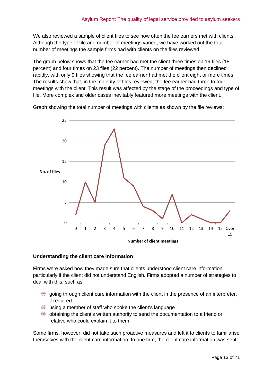We also reviewed a sample of client files to see how often the fee earners met with clients. Although the type of file and number of meetings varied, we have worked out the total number of meetings the sample firms had with clients on the files reviewed.

The graph below shows that the fee earner had met the client three times on 19 files (18 percent) and four times on 23 files (22 percent). The number of meetings then declined rapidly, with only 9 files showing that the fee earner had met the client eight or more times. The results show that, in the majority of files reviewed, the fee earner had three to four meetings with the client. This result was affected by the stage of the proceedings and type of file. More complex and older cases inevitably featured more meetings with the client.

Graph showing the total number of meetings with clients as shown by the file reviews:



#### **Understanding the client care information**

Firms were asked how they made sure that clients understood client care information, particularly if the client did not understand English. Firms adopted a number of strategies to deal with this, such as:

- going through client care information with the client in the presence of an interpreter, if required
- using a member of staff who spoke the client's language
- obtaining the client's written authority to send the documentation to a friend or relative who could explain it to them.

Some firms, however, did not take such proactive measures and left it to clients to familiarise themselves with the client care information. In one firm, the client care information was sent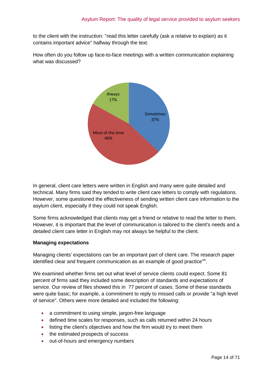to the client with the instruction: "read this letter carefully (ask a relative to explain) as it contains important advice" halfway through the text.

How often do you follow up face-to-face meetings with a written communication explaining what was discussed?



In general, client care letters were written in English and many were quite detailed and technical. Many firms said they tended to write client care letters to comply with regulations. However, some questioned the effectiveness of sending written client care information to the asylum client, especially if they could not speak English.

Some firms acknowledged that clients may get a friend or relative to read the letter to them. However, it is important that the level of communication is tailored to the client's needs and a detailed client care letter in English may not always be helpful to the client.

#### **Managing expectations**

Managing clients' expectations can be an important part of client care. The research paper identified clear and frequent communication as an example of good practice<sup>xiv</sup>.

We examined whether firms set out what level of service clients could expect. Some 81 percent of firms said they included some description of standards and expectations of service. Our review of files showed this in 77 percent of cases. Some of these standards were quite basic; for example, a commitment to reply to missed calls or provide "a high level of service". Others were more detailed and included the following:

- a commitment to using simple, jargon-free language
- defined time scales for responses, such as calls returned within 24 hours
- listing the client's objectives and how the firm would try to meet them
- the estimated prospects of success
- out-of-hours and emergency numbers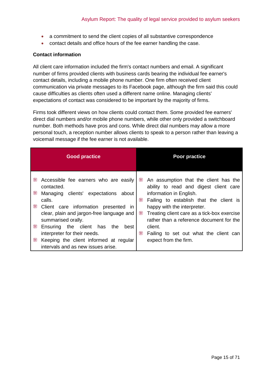- a commitment to send the client copies of all substantive correspondence
- contact details and office hours of the fee earner handling the case.

#### **Contact information**

All client care information included the firm's contact numbers and email. A significant number of firms provided clients with business cards bearing the individual fee earner's contact details, including a mobile phone number. One firm often received client communication via private messages to its Facebook page, although the firm said this could cause difficulties as clients often used a different name online. Managing clients' expectations of contact was considered to be important by the majority of firms.

Firms took different views on how clients could contact them. Some provided fee earners' direct dial numbers and/or mobile phone numbers, while other only provided a switchboard number. Both methods have pros and cons. While direct dial numbers may allow a more personal touch, a reception number allows clients to speak to a person rather than leaving a voicemail message if the fee earner is not available.

| <b>Good practice</b>                                                                                                                                                                                                                                                                                                                                                                                         | <b>Poor practice</b>                                                                                                                                                                                                                                                                                                                                                              |
|--------------------------------------------------------------------------------------------------------------------------------------------------------------------------------------------------------------------------------------------------------------------------------------------------------------------------------------------------------------------------------------------------------------|-----------------------------------------------------------------------------------------------------------------------------------------------------------------------------------------------------------------------------------------------------------------------------------------------------------------------------------------------------------------------------------|
| ₩<br>Accessible fee earners who are easily<br>contacted.<br>₩<br>Managing clients' expectations<br>about<br>calls.<br>₩<br>Client care information presented in<br>clear, plain and jargon-free language and<br>summarised orally.<br>₩<br>the client<br>Ensuring<br>has<br>the<br>best<br>interpreter for their needs.<br>₩<br>Keeping the client informed at regular<br>intervals and as new issues arise. | ₩<br>An assumption that the client has the<br>ability to read and digest client care<br>information in English.<br>₩<br>Failing to establish that the client is<br>happy with the interpreter.<br>₩<br>Treating client care as a tick-box exercise<br>rather than a reference document for the<br>client.<br>₩<br>Failing to set out what the client can<br>expect from the firm. |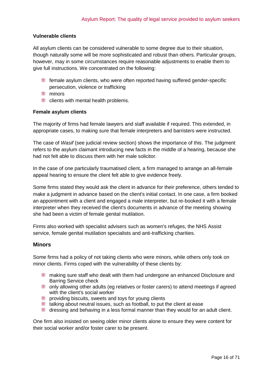## **Vulnerable clients**

All asylum clients can be considered vulnerable to some degree due to their situation, though naturally some will be more sophisticated and robust than others. Particular groups, however, may in some circumstances require reasonable adjustments to enable them to give full instructions. We concentrated on the following:

- female asylum clients, who were often reported having suffered gender-specific persecution, violence or trafficking
- **ill** minors
- **EXECUTE:** clients with mental health problems.

#### **Female asylum clients**

The majority of firms had female lawyers and staff available if required. This extended, in appropriate cases, to making sure that female interpreters and barristers were instructed.

The case of *Wasif* (see judicial review section) shows the importance of this. The judgment refers to the asylum claimant introducing new facts in the middle of a hearing, because she had not felt able to discuss them with her male solicitor.

In the case of one particularly traumatised client, a firm managed to arrange an all-female appeal hearing to ensure the client felt able to give evidence freely.

Some firms stated they would ask the client in advance for their preference, others tended to make a judgment in advance based on the client's initial contact. In one case, a firm booked an appointment with a client and engaged a male interpreter, but re-booked it with a female interpreter when they received the client's documents in advance of the meeting showing she had been a victim of female genital mutilation.

Firms also worked with specialist advisers such as women's refuges, the NHS Assist service, female genital mutilation specialists and anti-trafficking charities.

#### **Minors**

Some firms had a policy of not taking clients who were minors, while others only took on minor clients. Firms coped with the vulnerability of these clients by:

- making sure staff who dealt with them had undergone an enhanced Disclosure and Barring Service check
- only allowing other adults (eg relatives or foster carers) to attend meetings if agreed with the client's social worker
- **providing biscuits, sweets and toys for young clients**
- talking about neutral issues, such as football, to put the client at ease
- dressing and behaving in a less formal manner than they would for an adult client.

One firm also insisted on seeing older minor clients alone to ensure they were content for their social worker and/or foster carer to be present.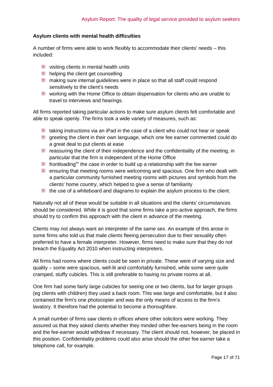#### **Asylum clients with mental health difficulties**

A number of firms were able to work flexibly to accommodate their clients' needs – this included:

- visiting clients in mental health units
- **helping the client get counselling**
- making sure internal guidelines were in place so that all staff could respond sensitively to the client's needs
- working with the Home Office to obtain dispensation for clients who are unable to travel to interviews and hearings.

All firms reported taking particular actions to make sure asylum clients felt comfortable and able to speak openly. The firms took a wide variety of measures, such as:

- taking instructions via an iPad in the case of a client who could not hear or speak
- greeting the client in their own language, which one fee earner commented could do a great deal to put clients at ease
- reassuring the client of their independence and the confidentiality of the meeting, in particular that the firm is independent of the Home Office
- **frontloading**<sup>xv</sup> the case in order to build up a relationship with the fee earner
- ensuring that meeting rooms were welcoming and spacious. One firm who dealt with a particular community furnished meeting rooms with pictures and symbols from the clients' home country, which helped to give a sense of familiarity
- the use of a whiteboard and diagrams to explain the asylum process to the client.

Naturally not all of these would be suitable in all situations and the clients' circumstances should be considered. While it is good that some firms take a pro-active approach, the firms should try to confirm this approach with the client in advance of the meeting.

Clients may not always want an interpreter of the same sex. An example of this arose in some firms who told us that male clients fleeing persecution due to their sexuality often preferred to have a female interpreter. However, firms need to make sure that they do not breach the Equality Act 2010 when instructing interpreters.

All firms had rooms where clients could be seen in private. These were of varying size and quality – some were spacious, well-lit and comfortably furnished, while some were quite cramped, stuffy cubicles. This is still preferable to having no private rooms at all.

One firm had some fairly large cubicles for seeing one or two clients, but for larger groups (eg clients with children) they used a back room. This was large and comfortable, but it also contained the firm's one photocopier and was the only means of access to the firm's lavatory. It therefore had the potential to become a thoroughfare.

A small number of firms saw clients in offices where other solicitors were working. They assured us that they asked clients whether they minded other fee-earners being in the room and the fee-earner would withdraw if necessary. The client should not, however, be placed in this position. Confidentiality problems could also arise should the other fee earner take a telephone call, for example.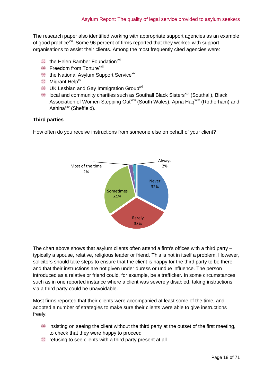The research paper also identified working with appropriate support agencies as an example of good practice<sup>xvi</sup>. Some 96 percent of firms reported that they worked with support organisations to assist their clients. Among the most frequently cited agencies were:

- the Helen Bamber Foundation<sup>xvii</sup>
- $\mathbb{H}$  Freedom from Torture<sup>xviii</sup>
- the National Asylum Support Service<sup>xix</sup>
- **Migrant Help**<sup>xx</sup>
- **UK Lesbian and Gay Immigration Group**<sup>xxi</sup>
- Ill local and community charities such as Southall Black Sisters<sup>xxii</sup> (Southall), Black Association of Women Stepping Out<sup>xxiii</sup> (South Wales), Apna Haq<sup>xxiv</sup> (Rotherham) and Ashina<sup>xxv</sup> (Sheffield).

#### **Third parties**

How often do you receive instructions from someone else on behalf of your client?



The chart above shows that asylum clients often attend a firm's offices with a third party – typically a spouse, relative, religious leader or friend. This is not in itself a problem. However, solicitors should take steps to ensure that the client is happy for the third party to be there and that their instructions are not given under duress or undue influence. The person introduced as a relative or friend could, for example, be a trafficker. In some circumstances, such as in one reported instance where a client was severely disabled, taking instructions via a third party could be unavoidable.

Most firms reported that their clients were accompanied at least some of the time, and adopted a number of strategies to make sure their clients were able to give instructions freely:

- $\blacksquare$  insisting on seeing the client without the third party at the outset of the first meeting, to check that they were happy to proceed
- refusing to see clients with a third party present at all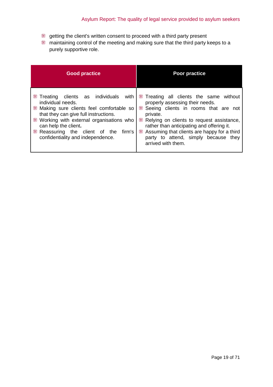- getting the client's written consent to proceed with a third party present
- maintaining control of the meeting and making sure that the third party keeps to a purely supportive role.

| <b>Good practice</b>                                                                                                                                                                                                                                                                                                    | <b>Poor practice</b>                                                                                                                                                                                                                                                                                                                                  |
|-------------------------------------------------------------------------------------------------------------------------------------------------------------------------------------------------------------------------------------------------------------------------------------------------------------------------|-------------------------------------------------------------------------------------------------------------------------------------------------------------------------------------------------------------------------------------------------------------------------------------------------------------------------------------------------------|
| ₩<br>Treating clients as individuals<br>with<br>individual needs.<br>Making sure clients feel comfortable so<br>that they can give full instructions.<br>₩<br>Working with external organisations who<br>can help the client.<br>₩<br>Reassuring the<br>client of<br>firm's<br>the<br>confidentiality and independence. | Treating all clients the same without<br>₩<br>properly assessing their needs.<br>Seeing clients in rooms that are<br>not<br>private.<br>₩<br>Relying on clients to request assistance,<br>rather than anticipating and offering it.<br>Assuming that clients are happy for a third<br>₩<br>party to attend, simply because they<br>arrived with them. |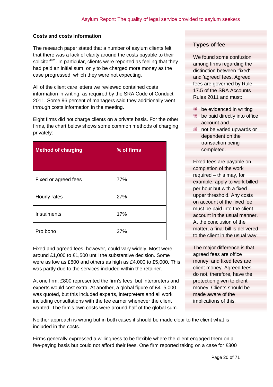### **Costs and costs information**

The research paper stated that a number of asylum clients felt that there was a lack of clarity around the costs payable to their solicitor<sup>xxvi</sup>. In particular, clients were reported as feeling that they had paid an initial sum, only to be charged more money as the case progressed, which they were not expecting.

All of the client care letters we reviewed contained costs information in writing, as required by the SRA Code of Conduct 2011. Some 96 percent of managers said they additionally went through costs information in the meeting.

Eight firms did not charge clients on a private basis. For the other firms, the chart below shows some common methods of charging privately:

| <b>Method of charging</b> | % of firms |
|---------------------------|------------|
| Fixed or agreed fees      | 77%        |
| Hourly rates              | 27%        |
| Instalments               | 17%        |
| Pro bono                  | 27%        |

Fixed and agreed fees, however, could vary widely. Most were around £1,000 to £1,500 until the substantive decision. Some were as low as £800 and others as high as £4,000 to £5,000. This was partly due to the services included within the retainer.

At one firm, £800 represented the firm's fees, but interpreters and experts would cost extra. At another, a global figure of £4–5,000 was quoted, but this included experts, interpreters and all work including consultations with the fee earner whenever the client wanted. The firm's own costs were around half of the global sum.

Neither approach is wrong but in both cases it should be made clear to the client what is included in the costs.

Firms generally expressed a willingness to be flexible where the client engaged them on a fee-paying basis but could not afford their fees. One firm reported taking on a case for £300

### **Types of fee**

We found some confusion among firms regarding the distinction between 'fixed' and 'agreed' fees. Agreed fees are governed by Rule 17.5 of the SRA Accounts Rules 2011 and must:

- **be evidenced in writing**
- the paid directly into office account and
- the varied upwards or dependent on the transaction being completed.

Fixed fees are payable on completion of the work required – this may, for example, apply to work billed per hour but with a fixed upper threshold. Any costs on account of the fixed fee must be paid into the client account in the usual manner. At the conclusion of the matter, a final bill is delivered to the client in the usual way.

The major difference is that agreed fees are office money, and fixed fees are client money. Agreed fees do not, therefore, have the protection given to client money. Clients should be made aware of the implications of this.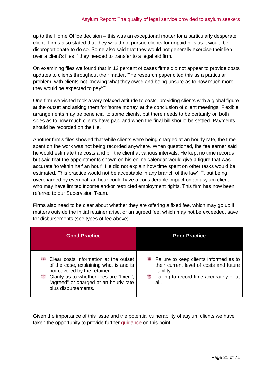up to the Home Office decision – this was an exceptional matter for a particularly desperate client. Firms also stated that they would not pursue clients for unpaid bills as it would be disproportionate to do so. Some also said that they would not generally exercise their lien over a client's files if they needed to transfer to a legal aid firm.

On examining files we found that in 12 percent of cases firms did not appear to provide costs updates to clients throughout their matter. The research paper cited this as a particular problem, with clients not knowing what they owed and being unsure as to how much more they would be expected to pay<sup>xxvii</sup>.

One firm we visited took a very relaxed attitude to costs, providing clients with a global figure at the outset and asking them for 'some money' at the conclusion of client meetings. Flexible arrangements may be beneficial to some clients, but there needs to be certainty on both sides as to how much clients have paid and when the final bill should be settled. Payments should be recorded on the file.

Another firm's files showed that while clients were being charged at an hourly rate, the time spent on the work was not being recorded anywhere. When questioned, the fee earner said he would estimate the costs and bill the client at various intervals. He kept no time records but said that the appointments shown on his online calendar would give a figure that was accurate 'to within half an hour'. He did not explain how time spent on other tasks would be estimated. This practice would not be acceptable in any branch of the law<sup>xxviii</sup>, but being overcharged by even half an hour could have a considerable impact on an asylum client, who may have limited income and/or restricted employment rights. This firm has now been referred to our Supervision Team.

Firms also need to be clear about whether they are offering a fixed fee, which may go up if matters outside the initial retainer arise, or an agreed fee, which may not be exceeded, save for disbursements (see types of fee above).

| <b>Good Practice</b>                                                                                                                                                                                                                 | <b>Poor Practice</b>                                                                                                                                         |
|--------------------------------------------------------------------------------------------------------------------------------------------------------------------------------------------------------------------------------------|--------------------------------------------------------------------------------------------------------------------------------------------------------------|
| ₩<br>Clear costs information at the outset<br>of the case, explaining what is and is<br>not covered by the retainer.<br>∰<br>Clarity as to whether fees are "fixed",<br>"agreed" or charged at an hourly rate<br>plus disbursements. | ₩<br>Failure to keep clients informed as to<br>their current level of costs and future<br>liability.<br>₩<br>Failing to record time accurately or at<br>all. |

Given the importance of this issue and the potential vulnerability of asylum clients we have taken the opportunity to provide further [guidance](http://www.sra.org.uk/solicitors/code-of-conduct/guidance/guidance/Risk-factors-in-immigration-work.page) on this point.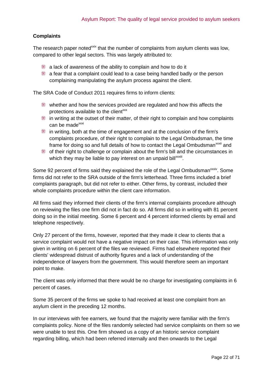### **Complaints**

The research paper noted<sup>xxix</sup> that the number of complaints from asylum clients was low, compared to other legal sectors. This was largely attributed to:

- $\parallel$  a lack of awareness of the ability to complain and how to do it
- $\parallel$  a fear that a complaint could lead to a case being handled badly or the person complaining manipulating the asylum process against the client.

The SRA Code of Conduct 2011 requires firms to inform clients:

- whether and how the services provided are regulated and how this affects the protections available to the client<sup>xxx</sup>
- $\blacksquare$  in writing at the outset of their matter, of their right to complain and how complaints can be made<sup>xxxi</sup>
- in writing, both at the time of engagement and at the conclusion of the firm's complaints procedure, of their right to complain to the Legal Ombudsman, the time frame for doing so and full details of how to contact the Legal Ombudsman<sup>xxxii</sup> and
- of their right to challenge or complain about the firm's bill and the circumstances in which they may be liable to pay interest on an unpaid bill<sup>xxxiii</sup>.

Some 92 percent of firms said they explained the role of the Legal Ombudsman<sup>xxiv</sup>. Some firms did not refer to the SRA outside of the firm's letterhead. Three firms included a brief complaints paragraph, but did not refer to either. Other firms, by contrast, included their whole complaints procedure within the client care information.

All firms said they informed their clients of the firm's internal complaints procedure although on reviewing the files one firm did not in fact do so. All firms did so in writing with 81 percent doing so in the initial meeting. Some 6 percent and 4 percent informed clients by email and telephone respectively.

Only 27 percent of the firms, however, reported that they made it clear to clients that a service complaint would not have a negative impact on their case. This information was only given in writing on 6 percent of the files we reviewed. Firms had elsewhere reported their clients' widespread distrust of authority figures and a lack of understanding of the independence of lawyers from the government. This would therefore seem an important point to make.

The client was only informed that there would be no charge for investigating complaints in 6 percent of cases.

Some 35 percent of the firms we spoke to had received at least one complaint from an asylum client in the preceding 12 months.

In our interviews with fee earners, we found that the majority were familiar with the firm's complaints policy. None of the files randomly selected had service complaints on them so we were unable to test this. One firm showed us a copy of an historic service complaint regarding billing, which had been referred internally and then onwards to the Legal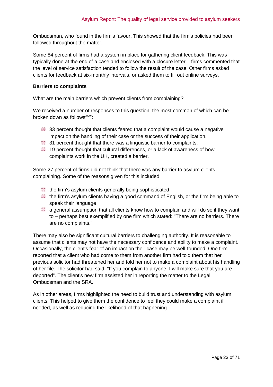Ombudsman, who found in the firm's favour. This showed that the firm's policies had been followed throughout the matter.

Some 84 percent of firms had a system in place for gathering client feedback. This was typically done at the end of a case and enclosed with a closure letter – firms commented that the level of service satisfaction tended to follow the result of the case. Other firms asked clients for feedback at six-monthly intervals, or asked them to fill out online surveys.

#### **Barriers to complaints**

What are the main barriers which prevent clients from complaining?

We received a number of responses to this question, the most common of which can be broken down as follows<sup>xxxv</sup>:

- $\qquad$  33 percent thought that clients feared that a complaint would cause a negative impact on the handling of their case or the success of their application.
- 31 percent thought that there was a linguistic barrier to complaints.
- 19 percent thought that cultural differences, or a lack of awareness of how complaints work in the UK, created a barrier.

Some 27 percent of firms did not think that there was any barrier to asylum clients complaining. Some of the reasons given for this included:

- the firm's asylum clients generally being sophisticated
- the firm's asylum clients having a good command of English, or the firm being able to speak their language
- $\Box$  a general assumption that all clients know how to complain and will do so if they want to – perhaps best exemplified by one firm which stated: "There are no barriers. There are no complaints."

There may also be significant cultural barriers to challenging authority. It is reasonable to assume that clients may not have the necessary confidence and ability to make a complaint. Occasionally, the client's fear of an impact on their case may be well-founded. One firm reported that a client who had come to them from another firm had told them that her previous solicitor had threatened her and told her not to make a complaint about his handling of her file. The solicitor had said: "If you complain to anyone, I will make sure that you are deported". The client's new firm assisted her in reporting the matter to the Legal Ombudsman and the SRA.

As in other areas, firms highlighted the need to build trust and understanding with asylum clients. This helped to give them the confidence to feel they could make a complaint if needed, as well as reducing the likelihood of that happening.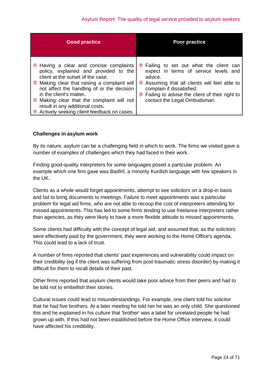| <b>Good practice</b>                                                                                                                                                                                                                                                                                                                                                    | <b>Poor practice</b>                                                                                                                                                                                                                                          |
|-------------------------------------------------------------------------------------------------------------------------------------------------------------------------------------------------------------------------------------------------------------------------------------------------------------------------------------------------------------------------|---------------------------------------------------------------------------------------------------------------------------------------------------------------------------------------------------------------------------------------------------------------|
| Having a clear and concise complaints<br>policy, explained and provided to the<br>client at the outset of the case.<br>Making clear that raising a complaint will<br>not affect the handling of or the decision<br>in the client's matter.<br>Making clear that the complaint will not<br>result in any additional costs.<br>Actively seeking client feedback on cases. | Failing to set out what the client can<br>expect in terms of service levels and<br>advice.<br>Assuming that all clients will feel able to<br>complain if dissatisfied.<br>₩<br>Failing to advise the client of their right to<br>contact the Legal Ombudsman. |

#### **Challenges in asylum work**

By its nature, asylum can be a challenging field in which to work. The firms we visited gave a number of examples of challenges which they had faced in their work.

Finding good-quality interpreters for some languages posed a particular problem. An example which one firm gave was Badînî, a minority Kurdish language with few speakers in the UK.

Clients as a whole would forget appointments, attempt to see solicitors on a drop-in basis and fail to bring documents to meetings. Failure to meet appointments was a particular problem for legal aid firms, who are not able to recoup the cost of interpreters attending for missed appointments. This has led to some firms tending to use freelance interpreters rather than agencies, as they were likely to have a more flexible attitude to missed appointments.

Some clients had difficulty with the concept of legal aid, and assumed that, as the solicitors were effectively paid by the government, they were working to the Home Office's agenda. This could lead to a lack of trust.

A number of firms reported that clients' past experiences and vulnerability could impact on their credibility (eg if the client was suffering from post-traumatic stress disorder) by making it difficult for them to recall details of their past.

Other firms reported that asylum clients would take poor advice from their peers and had to be told not to embellish their stories.

Cultural issues could lead to misunderstandings. For example, one client told his solicitor that he had five brothers. At a later meeting he told her he was an only child. She questioned this and he explained in his culture that 'brother' was a label for unrelated people he had grown up with. If this had not been established before the Home Office interview, it could have affected his credibility.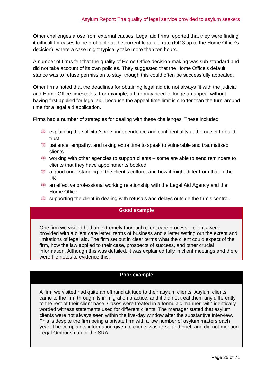Other challenges arose from external causes. Legal aid firms reported that they were finding it difficult for cases to be profitable at the current legal aid rate (£413 up to the Home Office's decision), where a case might typically take more than ten hours.

A number of firms felt that the quality of Home Office decision-making was sub-standard and did not take account of its own policies. They suggested that the Home Office's default stance was to refuse permission to stay, though this could often be successfully appealed.

Other firms noted that the deadlines for obtaining legal aid did not always fit with the judicial and Home Office timescales. For example, a firm may need to lodge an appeal without having first applied for legal aid, because the appeal time limit is shorter than the turn-around time for a legal aid application.

Firms had a number of strategies for dealing with these challenges. These included:

- explaining the solicitor's role, independence and confidentiality at the outset to build trust
- patience, empathy, and taking extra time to speak to vulnerable and traumatised clients
- working with other agencies to support clients some are able to send reminders to clients that they have appointments booked
- a good understanding of the client's culture, and how it might differ from that in the UK
- an effective professional working relationship with the Legal Aid Agency and the Home Office
- supporting the client in dealing with refusals and delays outside the firm's control.

#### **Good example**

One firm we visited had an extremely thorough client care process **–** clients were provided with a client care letter, terms of business and a letter setting out the extent and limitations of legal aid. The firm set out in clear terms what the client could expect of the firm, how the law applied to their case, prospects of success, and other crucial information. Although this was detailed, it was explained fully in client meetings and there were file notes to evidence this.

#### **Poor example**

A firm we visited had quite an offhand attitude to their asylum clients. Asylum clients came to the firm through its immigration practice, and it did not treat them any differently to the rest of their client base. Cases were treated in a formulaic manner, with identically worded witness statements used for different clients. The manager stated that asylum clients were not always seen within the five-day window after the substantive interview. This is despite the firm being a private firm with a low number of asylum matters each year. The complaints information given to clients was terse and brief, and did not mention Legal Ombudsman or the SRA.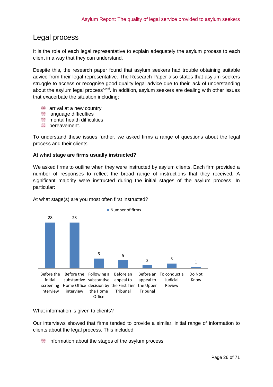## <span id="page-25-0"></span>Legal process

It is the role of each legal representative to explain adequately the asylum process to each client in a way that they can understand.

Despite this, the research paper found that asylum seekers had trouble obtaining suitable advice from their legal representative. The Research Paper also states that asylum seekers struggle to access or recognise good quality legal advice due to their lack of understanding about the asylum legal process<sup>xxxvi</sup>. In addition, asylum seekers are dealing with other issues that exacerbate the situation including:

- **a** arrival at a new country
- **language difficulties**
- **MEDITE:** mental health difficulties
- **bereavement.**

To understand these issues further, we asked firms a range of questions about the legal process and their clients.

#### **At what stage are firms usually instructed?**

We asked firms to outline when they were instructed by asylum clients. Each firm provided a number of responses to reflect the broad range of instructions that they received. A significant majority were instructed during the initial stages of the asylum process. In particular:



At what stage(s) are you most often first instructed?

What information is given to clients?

Our interviews showed that firms tended to provide a similar, initial range of information to clients about the legal process. This included:

information about the stages of the asylum process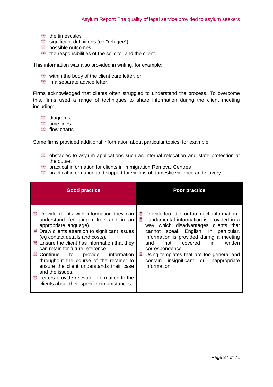- the timescales
- significant definitions (eg "refugee")
- **possible outcomes**
- $\blacksquare$  the responsibilities of the solicitor and the client.

This information was also provided in writing, for example:

- within the body of the client care letter, or
- in a separate advice letter.

Firms acknowledged that clients often struggled to understand the process. To overcome this, firms used a range of techniques to share information during the client meeting including:

- to diagrams
- time lines
- **flow charts**

Some firms provided additional information about particular topics, for example:

- obstacles to asylum applications such as internal relocation and state protection at the outset
- practical information for clients in Immigration Removal Centres
- practical information and support for victims of domestic violence and slavery.

| <b>Good practice</b>                                                                                                                                                                                                                                                                                                                                                                                                                                                                                                                        | Poor practice                                                                                                                                                                                                                                                                                                                                                                                       |
|---------------------------------------------------------------------------------------------------------------------------------------------------------------------------------------------------------------------------------------------------------------------------------------------------------------------------------------------------------------------------------------------------------------------------------------------------------------------------------------------------------------------------------------------|-----------------------------------------------------------------------------------------------------------------------------------------------------------------------------------------------------------------------------------------------------------------------------------------------------------------------------------------------------------------------------------------------------|
| <b>Provide clients with information they can</b><br>understand (eg jargon free and in an<br>appropriate language).<br>Draw clients attention to significant issues<br>(eg contact details and costs).<br><b>Ensure the client has information that they</b><br>can retain for future reference.<br>Continue to provide information<br>throughout the course of the retainer to<br>ensure the client understands their case<br>and the issues.<br>Letters provide relevant information to the<br>clients about their specific circumstances. | Provide too little, or too much information.<br>₩<br>Fundamental information is provided in a<br>e<br>way which disadvantages clients that<br>cannot speak English. In particular,<br>information is provided during a meeting<br>covered in<br>written<br>and<br>not<br>correspondence.<br>W<br>Using templates that are too general and<br>contain insignificant or inappropriate<br>information. |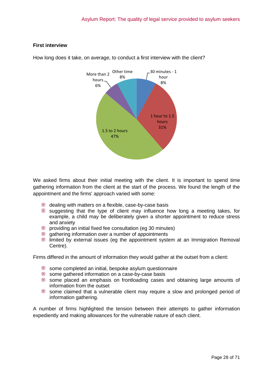## **First interview**



How long does it take, on average, to conduct a first interview with the client?

We asked firms about their initial meeting with the client. It is important to spend time gathering information from the client at the start of the process. We found the length of the appointment and the firms' approach varied with some:

- dealing with matters on a flexible, case-by-case basis
- suggesting that the type of client may influence how long a meeting takes, for example, a child may be deliberately given a shorter appointment to reduce stress and anxiety
- e providing an initial fixed fee consultation (eg 30 minutes)
- gathering information over a number of appointments
- limited by external issues (eg the appointment system at an Immigration Removal Centre).

Firms differed in the amount of information they would gather at the outset from a client:

- some completed an initial, bespoke asylum questionnaire
- some gathered information on a case-by-case basis
- some placed an emphasis on frontloading cases and obtaining large amounts of information from the outset
- some claimed that a vulnerable client may require a slow and prolonged period of information gathering.

A number of firms highlighted the tension between their attempts to gather information expediently and making allowances for the vulnerable nature of each client.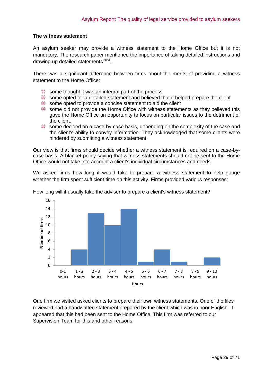#### **The witness statement**

An asylum seeker may provide a witness statement to the Home Office but it is not mandatory. The research paper mentioned the importance of taking detailed instructions and drawing up detailed statements<sup>xxxvii</sup>.

There was a significant difference between firms about the merits of providing a witness statement to the Home Office:

- some thought it was an integral part of the process
- some opted for a detailed statement and believed that it helped prepare the client
- some opted to provide a concise statement to aid the client
- some did not provide the Home Office with witness statements as they believed this gave the Home Office an opportunity to focus on particular issues to the detriment of the client.
- ∰ some decided on a case-by-case basis, depending on the complexity of the case and the client's ability to convey information. They acknowledged that some clients were hindered by submitting a witness statement.

Our view is that firms should decide whether a witness statement is required on a case-bycase basis. A blanket policy saying that witness statements should not be sent to the Home Office would not take into account a client's individual circumstances and needs.

We asked firms how long it would take to prepare a witness statement to help gauge whether the firm spent sufficient time on this activity. Firms provided various responses:



How long will it usually take the adviser to prepare a client's witness statement?

One firm we visited asked clients to prepare their own witness statements. One of the files reviewed had a handwritten statement prepared by the client which was in poor English. It appeared that this had been sent to the Home Office. This firm was referred to our Supervision Team for this and other reasons.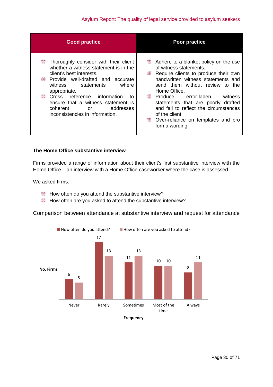## Asylum Report: The quality of legal service provided to asylum seekers

| <b>Good practice</b>                  | <b>Poor practice</b>                  |
|---------------------------------------|---------------------------------------|
| W                                     | ₩                                     |
| Thoroughly consider with their client | Adhere to a blanket policy on the use |
| whether a witness statement is in the | of witness statements.                |
| client's best interests.              | ₩                                     |
| ₩                                     | Require clients to produce their own  |
| Provide well-drafted and accurate     | handwritten witness statements and    |
| where                                 | send them without review to the       |
| witness                               | Home Office.                          |
| statements                            | ₩                                     |
| appropriate.                          | Produce                               |
| ₩                                     | error-laden                           |
| Cross reference information           | witness                               |
| to                                    | statements that are poorly drafted    |
| ensure that a witness statement is    | and fail to reflect the circumstances |
| addresses                             | of the client.                        |
| coherent                              | ₩                                     |
| or                                    | Over-reliance on templates and pro    |
| inconsistencies in information.       | forma wording.                        |

## **The Home Office substantive interview**

Firms provided a range of information about their client's first substantive interview with the Home Office – an interview with a Home Office caseworker where the case is assessed.

We asked firms:

- How often do you attend the substantive interview?
- How often are you asked to attend the substantive interview?

Comparison between attendance at substantive interview and request for attendance

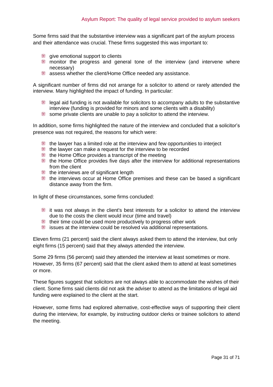Some firms said that the substantive interview was a significant part of the asylum process and their attendance was crucial. These firms suggested this was important to:

- give emotional support to clients
- monitor the progress and general tone of the interview (and intervene where necessary)
- assess whether the client/Home Office needed any assistance.

A significant number of firms did not arrange for a solicitor to attend or rarely attended the interview. Many highlighted the impact of funding. In particular:

- legal aid funding is not available for solicitors to accompany adults to the substantive interview (funding is provided for minors and some clients with a disability)
- e some private clients are unable to pay a solicitor to attend the interview.

In addition, some firms highlighted the nature of the interview and concluded that a solicitor's presence was not required, the reasons for which were:

- the lawyer has a limited role at the interview and few opportunities to interject
- the lawyer can make a request for the interview to be recorded
- the Home Office provides a transcript of the meeting
- the Home Office provides five days after the interview for additional representations from the client
- the interviews are of significant length
- the interviews occur at Home Office premises and these can be based a significant distance away from the firm.

In light of these circumstances, some firms concluded:

- it was not always in the client's best interests for a solicitor to attend the interview due to the costs the client would incur (time and travel)
- $\blacksquare$  their time could be used more productively to progress other work
- issues at the interview could be resolved via additional representations.

Eleven firms (21 percent) said the client always asked them to attend the interview, but only eight firms (15 percent) said that they always attended the interview.

Some 29 firms (56 percent) said they attended the interview at least sometimes or more. However, 35 firms (67 percent) said that the client asked them to attend at least sometimes or more.

These figures suggest that solicitors are not always able to accommodate the wishes of their client. Some firms said clients did not ask the adviser to attend as the limitations of legal aid funding were explained to the client at the start.

However, some firms had explored alternative, cost-effective ways of supporting their client during the interview, for example, by instructing outdoor clerks or trainee solicitors to attend the meeting.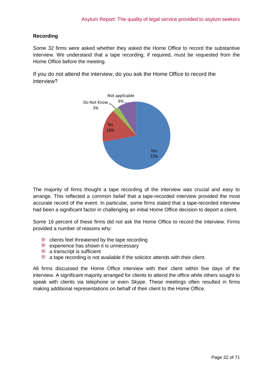## **Recording**

Some 32 firms were asked whether they asked the Home Office to record the substantive interview. We understand that a tape recording, if required, must be requested from the Home Office before the meeting.

If you do not attend the interview, do you ask the Home Office to record the interview?



The majority of firms thought a tape recording of the interview was crucial and easy to arrange. This reflected a common belief that a tape-recorded interview provided the most accurate record of the event. In particular, some firms stated that a tape-recorded interview had been a significant factor in challenging an initial Home Office decision to deport a client.

Some 16 percent of these firms did not ask the Home Office to record the interview. Firms provided a number of reasons why:

- clients feel threatened by the tape recording
- **EXPERIENCE FOR SHOW IT IS UNDERESSARY**
- **a** transcript is sufficient
- a tape recording is not available if the solicitor attends with their client.

All firms discussed the Home Office interview with their client within five days of the interview. A significant majority arranged for clients to attend the office while others sought to speak with clients via telephone or even Skype. These meetings often resulted in firms making additional representations on behalf of their client to the Home Office.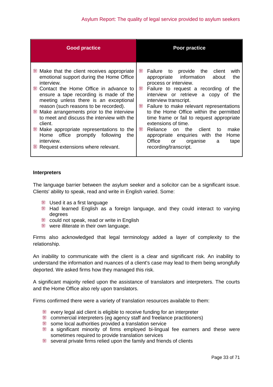| <b>Good practice</b>                                                                                                                                                                                                                                                                                                                                                                                                                                                                                                     | <b>Poor practice</b>                                                                                                                                                                                                                                                                                                                                                                                                                                                                                                                                                             |
|--------------------------------------------------------------------------------------------------------------------------------------------------------------------------------------------------------------------------------------------------------------------------------------------------------------------------------------------------------------------------------------------------------------------------------------------------------------------------------------------------------------------------|----------------------------------------------------------------------------------------------------------------------------------------------------------------------------------------------------------------------------------------------------------------------------------------------------------------------------------------------------------------------------------------------------------------------------------------------------------------------------------------------------------------------------------------------------------------------------------|
| Make that the client receives appropriate<br>emotional support during the Home Office<br>interview.<br>■ Contact the Home Office in advance to<br>ensure a tape recording is made of the<br>meeting unless there is an exceptional<br>reason (such reasons to be recorded).<br>Make arrangements prior to the interview<br>to meet and discuss the interview with the<br>client.<br>Make appropriate representations to the<br>Home office promptly following<br>the<br>interview.<br>Request extensions where relevant. | provide the<br>₩<br>Failure to<br>client<br>with<br>appropriate information<br>the<br>about<br>process or interview.<br>₩<br>Failure to request a recording of the<br>interview or retrieve a copy<br>of<br>the<br>interview transcript.<br>Failure to make relevant representations<br>₩<br>to the Home Office within the permitted<br>time frame or fail to request appropriate<br>extensions of time.<br>₩<br>the t<br>client<br>make<br>Reliance<br>on.<br>to<br>appropriate enquiries with<br>Home<br>the<br>Office<br>organise<br>or<br>a<br>tape<br>recording/transcript. |

#### **Interpreters**

The language barrier between the asylum seeker and a solicitor can be a significant issue. Clients' ability to speak, read and write in English varied. Some:

- **Used it as a first language**
- Had learned English as a foreign language, and they could interact to varying degrees
- could not speak, read or write in English
- were illiterate in their own language.

Firms also acknowledged that legal terminology added a layer of complexity to the relationship.

An inability to communicate with the client is a clear and significant risk. An inability to understand the information and nuances of a client's case may lead to them being wrongfully deported. We asked firms how they managed this risk.

A significant majority relied upon the assistance of translators and interpreters. The courts and the Home Office also rely upon translators.

Firms confirmed there were a variety of translation resources available to them:

- every legal aid client is eligible to receive funding for an interpreter
- commercial interpreters (eg agency staff and freelance practitioners)
- some local authorities provided a translation service
- a significant minority of firms employed bi-lingual fee earners and these were sometimes required to provide translation services
- several private firms relied upon the family and friends of clients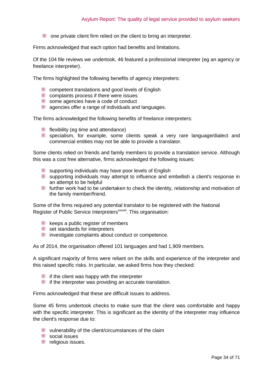one private client firm relied on the client to bring an interpreter.

Firms acknowledged that each option had benefits and limitations.

Of the 104 file reviews we undertook, 46 featured a professional interpreter (eg an agency or freelance interpreter).

The firms highlighted the following benefits of agency interpreters:

- **EXECOMPERENT COMPETENT** competent translations and good levels of English
- **EXECOMPLE** complaints process if there were issues
- some agencies have a code of conduct
- agencies offer a range of individuals and languages.

The firms acknowledged the following benefits of freelance interpreters:

- **flexibility (eq time and attendance)**
- specialism, for example, some clients speak a very rare language/dialect and commercial entities may not be able to provide a translator.

Some clients relied on friends and family members to provide a translation service. Although this was a cost free alternative, firms acknowledged the following issues:

- supporting individuals may have poor levels of English
- supporting individuals may attempt to influence and embellish a client's response in an attempt to be helpful
- further work had to be undertaken to check the identity, relationship and motivation of the family member/friend.

Some of the firms required any potential translator to be registered with the National Register of Public Service Interpreters<sup>xxxviii</sup>. This organisation:

- **keeps a public register of members**
- set standards for interpreters
- investigate complaints about conduct or competence.

As of 2014, the organisation offered 101 languages and had 1,909 members.

A significant majority of firms were reliant on the skills and experience of the interpreter and this raised specific risks. In particular, we asked firms how they checked:

- if the client was happy with the interpreter
- if the interpreter was providing an accurate translation.

Firms acknowledged that these are difficult issues to address.

Some 45 firms undertook checks to make sure that the client was comfortable and happy with the specific interpreter. This is significant as the identity of the interpreter may influence the client's response due to:

- vulnerability of the client/circumstances of the claim
- social issues
- **Follogieal** religious issues.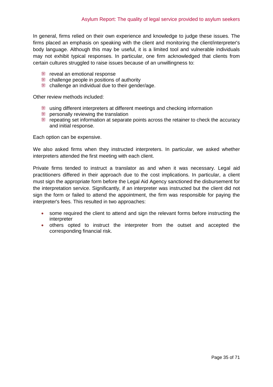In general, firms relied on their own experience and knowledge to judge these issues. The firms placed an emphasis on speaking with the client and monitoring the client/interpreter's body language. Although this may be useful, it is a limited tool and vulnerable individuals may not exhibit typical responses. In particular, one firm acknowledged that clients from certain cultures struggled to raise issues because of an unwillingness to:

- **Fig.** reveal an emotional response
- challenge people in positions of authority
- challenge an individual due to their gender/age.

Other review methods included:

- using different interpreters at different meetings and checking information
- **EXECUTE:** personally reviewing the translation
- repeating set information at separate points across the retainer to check the accuracy and initial response.

Each option can be expensive.

We also asked firms when they instructed interpreters. In particular, we asked whether interpreters attended the first meeting with each client.

Private firms tended to instruct a translator as and when it was necessary. Legal aid practitioners differed in their approach due to the cost implications. In particular, a client must sign the appropriate form before the Legal Aid Agency sanctioned the disbursement for the interpretation service. Significantly, if an interpreter was instructed but the client did not sign the form or failed to attend the appointment, the firm was responsible for paying the interpreter's fees. This resulted in two approaches:

- some required the client to attend and sign the relevant forms before instructing the interpreter
- others opted to instruct the interpreter from the outset and accepted the corresponding financial risk.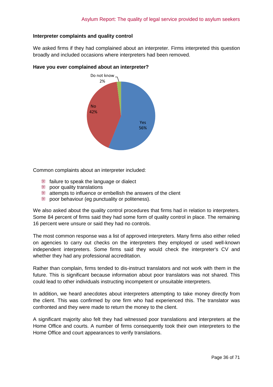#### **Interpreter complaints and quality control**

We asked firms if they had complained about an interpreter. Firms interpreted this question broadly and included occasions where interpreters had been removed.



#### **Have you ever complained about an interpreter?**

Common complaints about an interpreter included:

- **failure to speak the language or dialect**
- **poor quality translations**
- attempts to influence or embellish the answers of the client
- e poor behaviour (eg punctuality or politeness).

We also asked about the quality control procedures that firms had in relation to interpreters. Some 84 percent of firms said they had some form of quality control in place. The remaining 16 percent were unsure or said they had no controls.

The most common response was a list of approved interpreters. Many firms also either relied on agencies to carry out checks on the interpreters they employed or used well-known independent interpreters. Some firms said they would check the interpreter's CV and whether they had any professional accreditation.

Rather than complain, firms tended to dis-instruct translators and not work with them in the future. This is significant because information about poor translators was not shared. This could lead to other individuals instructing incompetent or unsuitable interpreters.

In addition, we heard anecdotes about interpreters attempting to take money directly from the client. This was confirmed by one firm who had experienced this. The translator was confronted and they were made to return the money to the client.

A significant majority also felt they had witnessed poor translations and interpreters at the Home Office and courts. A number of firms consequently took their own interpreters to the Home Office and court appearances to verify translations.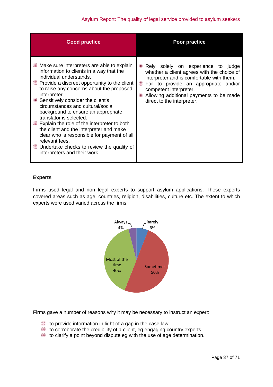| <b>Good practice</b>                                                                                                                                                                                                                                                                                                                                                                                                                                                                                                                                                                                                                      | Poor practice                                                                                                                                                                                                                                                                            |
|-------------------------------------------------------------------------------------------------------------------------------------------------------------------------------------------------------------------------------------------------------------------------------------------------------------------------------------------------------------------------------------------------------------------------------------------------------------------------------------------------------------------------------------------------------------------------------------------------------------------------------------------|------------------------------------------------------------------------------------------------------------------------------------------------------------------------------------------------------------------------------------------------------------------------------------------|
| Make sure interpreters are able to explain<br>information to clients in a way that the<br>individual understands.<br><b>Example 2 Provide a discreet opportunity to the client</b><br>to raise any concerns about the proposed<br>interpreter.<br>Sensitively consider the client's<br>circumstances and cultural/social<br>background to ensure an appropriate<br>translator is selected.<br><b>Explain the role of the interpreter to both</b><br>the client and the interpreter and make<br>clear who is responsible for payment of all<br>relevant fees.<br>Undertake checks to review the quality of<br>interpreters and their work. | ₩<br>Rely solely on experience to judge<br>whether a client agrees with the choice of<br>interpreter and is comfortable with them.<br>Fail to provide an appropriate and/or<br>₩<br>competent interpreter.<br>Allowing additional payments to be made<br>m<br>direct to the interpreter. |

## **Experts**

Firms used legal and non legal experts to support asylum applications. These experts covered areas such as age, countries, religion, disabilities, culture etc. The extent to which experts were used varied across the firms.



Firms gave a number of reasons why it may be necessary to instruct an expert:

- to provide information in light of a gap in the case law
- $\blacksquare$  to corroborate the credibility of a client, eg engaging country experts
- to clarify a point beyond dispute eg with the use of age determination.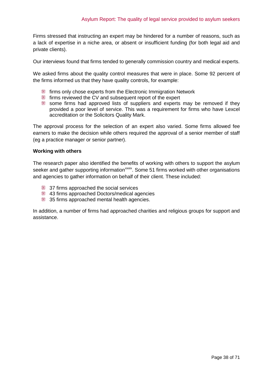Firms stressed that instructing an expert may be hindered for a number of reasons, such as a lack of expertise in a niche area, or absent or insufficient funding (for both legal aid and private clients).

Our interviews found that firms tended to generally commission country and medical experts.

We asked firms about the quality control measures that were in place. Some 92 percent of the firms informed us that they have quality controls, for example:

- **firms only chose experts from the Electronic Immigration Network**
- **firms reviewed the CV and subsequent report of the expert**
- some firms had approved lists of suppliers and experts may be removed if they provided a poor level of service. This was a requirement for firms who have Lexcel accreditation or the Solicitors Quality Mark.

The approval process for the selection of an expert also varied. Some firms allowed fee earners to make the decision while others required the approval of a senior member of staff (eg a practice manager or senior partner).

#### **Working with others**

The research paper also identified the benefits of working with others to support the asylum seeker and gather supporting information<sup>xxxix</sup>. Some 51 firms worked with other organisations and agencies to gather information on behalf of their client. These included:

- 37 firms approached the social services
- 43 firms approached Doctors/medical agencies
- 35 firms approached mental health agencies.

In addition, a number of firms had approached charities and religious groups for support and assistance.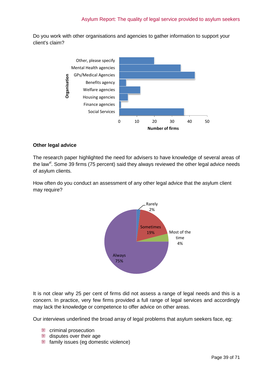Do you work with other organisations and agencies to gather information to support your client's claim?



#### **Other legal advice**

The research paper highlighted the need for advisers to have knowledge of several areas of the law<sup>xl</sup>. Some 39 firms (75 percent) said they always reviewed the other legal advice needs of asylum clients.

How often do you conduct an assessment of any other legal advice that the asylum client may require?



It is not clear why 25 per cent of firms did not assess a range of legal needs and this is a concern. In practice, very few firms provided a full range of legal services and accordingly may lack the knowledge or competence to offer advice on other areas.

Our interviews underlined the broad array of legal problems that asylum seekers face, eg:

- **EXECUTE:** criminal prosecution
- disputes over their age
- family issues (eg domestic violence)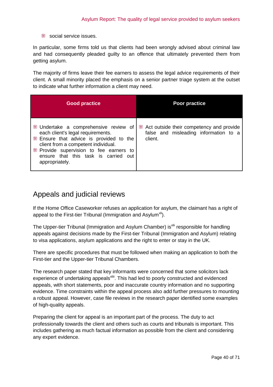Social service issues.

In particular, some firms told us that clients had been wrongly advised about criminal law and had consequently pleaded guilty to an offence that ultimately prevented them from getting asylum.

The majority of firms leave their fee earners to assess the legal advice requirements of their client. A small minority placed the emphasis on a senior partner triage system at the outset to indicate what further information a client may need.

| <b>Good practice</b>                                                                                                                                                                                                                                               | Poor practice                                                                                |
|--------------------------------------------------------------------------------------------------------------------------------------------------------------------------------------------------------------------------------------------------------------------|----------------------------------------------------------------------------------------------|
| Undertake a comprehensive review of<br>each client's legal requirements.<br>Ensure that advice is provided to the<br>client from a competent individual.<br><b>Provide supervision to fee earners to</b><br>ensure that this task is carried out<br>appropriately. | Act outside their competency and provide<br>false and misleading information to a<br>client. |

## <span id="page-39-0"></span>Appeals and judicial reviews

If the Home Office Caseworker refuses an application for asylum, the claimant has a right of appeal to the First-tier Tribunal (Immigration and Asylum<sup>xii</sup>).

The Upper-tier Tribunal (Immigration and Asylum Chamber) is<sup>xlii</sup> responsible for handling appeals against decisions made by the First-tier Tribunal (Immigration and Asylum) relating to visa applications, asylum applications and the right to enter or stay in the UK.

There are specific procedures that must be followed when making an application to both the First-tier and the Upper-tier Tribunal Chambers.

The research paper stated that key informants were concerned that some solicitors lack experience of undertaking appeals<sup>xliii</sup>. This had led to poorly constructed and evidenced appeals, with short statements, poor and inaccurate country information and no supporting evidence. Time constraints within the appeal process also add further pressures to mounting a robust appeal. However, case file reviews in the research paper identified some examples of high-quality appeals.

Preparing the client for appeal is an important part of the process. The duty to act professionally towards the client and others such as courts and tribunals is important. This includes gathering as much factual information as possible from the client and considering any expert evidence.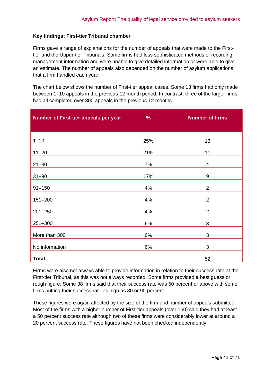### **Key findings: First-tier Tribunal chamber**

Firms gave a range of explanations for the number of appeals that were made to the Firsttier and the Upper-tier Tribunals. Some firms had less sophisticated methods of recording management information and were unable to give detailed information or were able to give an estimate. The number of appeals also depended on the number of asylum applications that a firm handled each year.

The chart below shows the number of First-tier appeal cases. Some 13 firms had only made between 1–10 appeals in the previous 12-month period. In contrast, three of the larger firms had all completed over 300 appeals in the previous 12 months.

| Number of First-tier appeals per year | %     | <b>Number of firms</b> |
|---------------------------------------|-------|------------------------|
|                                       |       |                        |
| $1 - 10$                              | 25%   | 13                     |
| $11 - 20$                             | 21%   | 11                     |
| $21 - 30$                             | 7%    | 4                      |
| $31 - 90$                             | 17%   | 9                      |
| $91 - 150$                            | 4%    | $\overline{2}$         |
| 151-200                               | 4%    | $\overline{2}$         |
| $201 - 250$                           | 4%    | $\overline{2}$         |
| 251-300                               | 6%    | 3                      |
| More than 300                         | $6\%$ | 3                      |
| No information                        | 6%    | 3                      |
| <b>Total</b>                          |       | 52                     |

Firms were also not always able to provide information in relation to their success rate at the First-tier Tribunal, as this was not always recorded. Some firms provided a best guess or rough figure. Some 38 firms said that their success rate was 50 percent or above with some firms putting their success rate as high as 80 or 90 percent.

These figures were again affected by the size of the firm and number of appeals submitted. Most of the firms with a higher number of First-tier appeals (over 150) said they had at least a 50 percent success rate although two of these firms were considerably lower at around a 20 percent success rate. These figures have not been checked independently.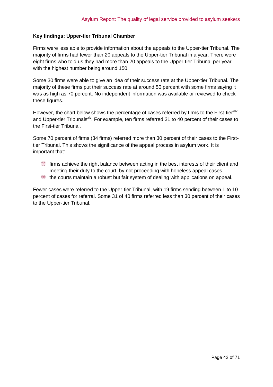#### **Key findings: Upper-tier Tribunal Chamber**

Firms were less able to provide information about the appeals to the Upper-tier Tribunal. The majority of firms had fewer than 20 appeals to the Upper-tier Tribunal in a year. There were eight firms who told us they had more than 20 appeals to the Upper-tier Tribunal per year with the highest number being around 150.

Some 30 firms were able to give an idea of their success rate at the Upper-tier Tribunal. The majority of these firms put their success rate at around 50 percent with some firms saying it was as high as 70 percent. No independent information was available or reviewed to check these figures.

However, the chart below shows the percentage of cases referred by firms to the First-tier<sup>xliv</sup> and Upper-tier Tribunals<sup>xIV</sup>. For example, ten firms referred 31 to 40 percent of their cases to the First-tier Tribunal.

Some 70 percent of firms (34 firms) referred more than 30 percent of their cases to the Firsttier Tribunal. This shows the significance of the appeal process in asylum work. It is important that:

- firms achieve the right balance between acting in the best interests of their client and meeting their duty to the court, by not proceeding with hopeless appeal cases
- the courts maintain a robust but fair system of dealing with applications on appeal.

Fewer cases were referred to the Upper-tier Tribunal, with 19 firms sending between 1 to 10 percent of cases for referral. Some 31 of 40 firms referred less than 30 percent of their cases to the Upper-tier Tribunal.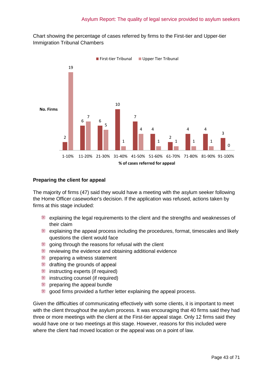Chart showing the percentage of cases referred by firms to the First-tier and Upper-tier Immigration Tribunal Chambers



#### **Preparing the client for appeal**

The majority of firms (47) said they would have a meeting with the asylum seeker following the Home Officer caseworker's decision. If the application was refused, actions taken by firms at this stage included:

- explaining the legal requirements to the client and the strengths and weaknesses of their claim
- explaining the appeal process including the procedures, format, timescales and likely questions the client would face
- going through the reasons for refusal with the client
- reviewing the evidence and obtaining additional evidence
- **preparing a witness statement**
- drafting the grounds of appeal
- $\equiv$  instructing experts (if required)
- **instructing counsel (if required)**
- **preparing the appeal bundle**
- good firms provided a further letter explaining the appeal process.

Given the difficulties of communicating effectively with some clients, it is important to meet with the client throughout the asylum process. It was encouraging that 40 firms said they had three or more meetings with the client at the First-tier appeal stage. Only 12 firms said they would have one or two meetings at this stage. However, reasons for this included were where the client had moved location or the appeal was on a point of law.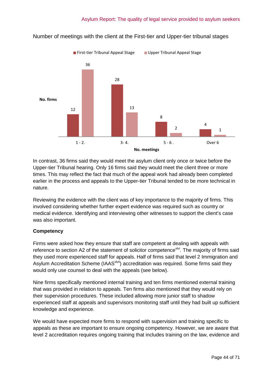

## Number of meetings with the client at the First-tier and Upper-tier tribunal stages

In contrast, 36 firms said they would meet the asylum client only once or twice before the Upper-tier Tribunal hearing. Only 16 firms said they would meet the client three or more times. This may reflect the fact that much of the appeal work had already been completed earlier in the process and appeals to the Upper-tier Tribunal tended to be more technical in nature.

Reviewing the evidence with the client was of key importance to the majority of firms. This involved considering whether further expert evidence was required such as country or medical evidence. Identifying and interviewing other witnesses to support the client's case was also important.

## **Competency**

Firms were asked how they ensure that staff are competent at dealing with appeals with reference to section A2 of the statement of solicitor competence<sup>xlvi</sup>. The majority of firms said they used more experienced staff for appeals. Half of firms said that level 2 Immigration and Asylum Accreditation Scheme (IAAS<sup>xlvii</sup>) accreditation was required. Some firms said they would only use counsel to deal with the appeals (see below).

Nine firms specifically mentioned internal training and ten firms mentioned external training that was provided in relation to appeals. Ten firms also mentioned that they would rely on their supervision procedures. These included allowing more junior staff to shadow experienced staff at appeals and supervisors monitoring staff until they had built up sufficient knowledge and experience.

We would have expected more firms to respond with supervision and training specific to appeals as these are important to ensure ongoing competency. However, we are aware that level 2 accreditation requires ongoing training that includes training on the law, evidence and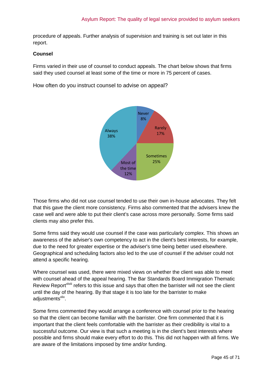procedure of appeals. Further analysis of supervision and training is set out later in this report.

#### **Counsel**

Firms varied in their use of counsel to conduct appeals. The chart below shows that firms said they used counsel at least some of the time or more in 75 percent of cases.

How often do you instruct counsel to advise on appeal?



Those firms who did not use counsel tended to use their own in-house advocates. They felt that this gave the client more consistency. Firms also commented that the advisers knew the case well and were able to put their client's case across more personally. Some firms said clients may also prefer this.

Some firms said they would use counsel if the case was particularly complex. This shows an awareness of the adviser's own competency to act in the client's best interests, for example, due to the need for greater expertise or the adviser's time being better used elsewhere. Geographical and scheduling factors also led to the use of counsel if the adviser could not attend a specific hearing.

Where counsel was used, there were mixed views on whether the client was able to meet with counsel ahead of the appeal hearing. The Bar Standards Board Immigration Thematic Review Report<sup>xiviii</sup> refers to this issue and says that often the barrister will not see the client until the day of the hearing. By that stage it is too late for the barrister to make adjustments<sup>xlix</sup>.

Some firms commented they would arrange a conference with counsel prior to the hearing so that the client can become familiar with the barrister. One firm commented that it is important that the client feels comfortable with the barrister as their credibility is vital to a successful outcome. Our view is that such a meeting is in the client's best interests where possible and firms should make every effort to do this. This did not happen with all firms. We are aware of the limitations imposed by time and/or funding.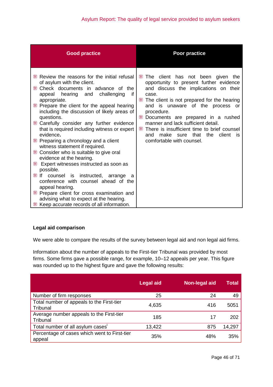| <b>Good practice</b>                                                                                                                                                                                                                                                                                                                                                                                                                                                                                                                                                                                                                                                                                                                                                                                                                            | Poor practice                                                                                                                                                                                                                                                                                                                                                                                                                                           |
|-------------------------------------------------------------------------------------------------------------------------------------------------------------------------------------------------------------------------------------------------------------------------------------------------------------------------------------------------------------------------------------------------------------------------------------------------------------------------------------------------------------------------------------------------------------------------------------------------------------------------------------------------------------------------------------------------------------------------------------------------------------------------------------------------------------------------------------------------|---------------------------------------------------------------------------------------------------------------------------------------------------------------------------------------------------------------------------------------------------------------------------------------------------------------------------------------------------------------------------------------------------------------------------------------------------------|
| Review the reasons for the initial refusal<br>of asylum with the client.<br>Check documents in advance of the<br>challenging<br>appeal hearing and<br>if<br>appropriate.<br>Prepare the client for the appeal hearing<br>including the discussion of likely areas of<br>questions.<br>Carefully consider any further evidence<br>that is required including witness or expert<br>evidence.<br>Preparing a chronology and a client<br>witness statement if required.<br>Consider who is suitable to give oral<br>evidence at the hearing.<br>₩<br>Expert witnesses instructed as soon as<br>possible.<br>₩ If<br>counsel is instructed, arrange a<br>conference with counsel ahead of the<br>appeal hearing.<br>Prepare client for cross examination and<br>advising what to expect at the hearing.<br>Keep accurate records of all information. | The client has not been given the<br>₩<br>opportunity to present further evidence<br>and discuss the implications on their<br>case.<br>The client is not prepared for the hearing<br>and is unaware of the process<br>or<br>procedure.<br>₩<br>Documents are prepared in a rushed<br>manner and lack sufficient detail.<br>There is insufficient time to brief counsel<br>₩<br>make sure that the<br>client<br>and<br>- is<br>comfortable with counsel. |

## **Legal aid comparison**

We were able to compare the results of the survey between legal aid and non legal aid firms.

Information about the number of appeals to the First-tier Tribunal was provided by most firms. Some firms gave a possible range, for example, 10–12 appeals per year. This figure was rounded up to the highest figure and gave the following results:

|                                                        | <b>Legal aid</b> | Non-legal aid | <b>Total</b> |
|--------------------------------------------------------|------------------|---------------|--------------|
| Number of firm responses                               | 25               | 24            | 49           |
| Total number of appeals to the First-tier<br>Tribunal  | 4,635            | 416           | 5051         |
| Average number appeals to the First-tier<br>Tribunal   | 185              | 17            | 202          |
| Total number of all asylum cases                       | 13,422           | 875           | 14,297       |
| Percentage of cases which went to First-tier<br>appeal | 35%              | 48%           | 35%          |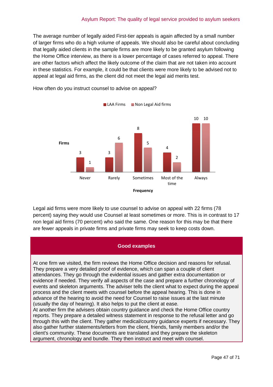The average number of legally aided First-tier appeals is again affected by a small number of larger firms who do a high volume of appeals. We should also be careful about concluding that legally aided clients in the sample firms are more likely to be granted asylum following the Home Office interview, as there is a lower percentage of cases referred to appeal. There are other factors which affect the likely outcome of the claim that are not taken into account in these statistics. For example, it could be that clients were more likely to be advised not to appeal at legal aid firms, as the client did not meet the legal aid merits test.



How often do you instruct counsel to advise on appeal?

Legal aid firms were more likely to use counsel to advise on appeal with 22 firms (78 percent) saying they would use Counsel at least sometimes or more. This is in contrast to 17 non legal aid firms (70 percent) who said the same. One reason for this may be that there are fewer appeals in private firms and private firms may seek to keep costs down.

#### **Good examples**

At one firm we visited, the firm reviews the Home Office decision and reasons for refusal. They prepare a very detailed proof of evidence, which can span a couple of client attendances. They go through the evidential issues and gather extra documentation or evidence if needed. They verify all aspects of the case and prepare a further chronology of events and skeleton arguments. The adviser tells the client what to expect during the appeal process and the client meets with counsel before the appeal hearing. This is done in advance of the hearing to avoid the need for Counsel to raise issues at the last minute (usually the day of hearing). It also helps to put the client at ease.

At another firm the advisers obtain country guidance and check the Home Office country reports. They prepare a detailed witness statement in response to the refusal letter and go through this with the client. They gather medical/country guidance experts if necessary. They also gather further statements/letters from the client, friends, family members and/or the client's community. These documents are translated and they prepare the skeleton argument, chronology and bundle. They then instruct and meet with counsel.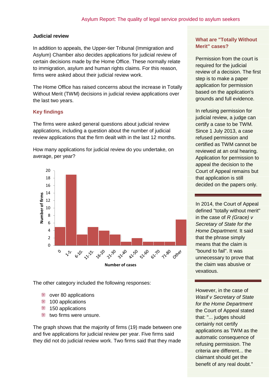#### **Judicial review**

In addition to appeals, the Upper-tier Tribunal (Immigration and Asylum) Chamber also decides applications for judicial review of certain decisions made by the Home Office. These normally relate to immigration, asylum and human rights claims. For this reason, firms were asked about their judicial review work.

The Home Office has raised concerns about the increase in Totally Without Merit (TWM) decisions in judicial review applications over the last two years.

### **Key findings**

The firms were asked general questions about judicial review applications, including a question about the number of judicial review applications that the firm dealt with in the last 12 months.

How many applications for judicial review do you undertake, on average, per year?



The other category included the following responses:

- **₩** over 80 applications
- $# 100$  **applications**
- **150 applications**
- **two firms were unsure.**

The graph shows that the majority of firms (19) made between one and five applications for judicial review per year. Five firms said they did not do judicial review work. Two firms said that they made

## **What are "Totally Without Merit" cases?**

Permission from the court is required for the judicial review of a decision. The first step is to make a paper application for permission based on the application's grounds and full evidence.

In refusing permission for judicial review, a judge can certify a case to be TWM. Since 1 July 2013, a case refused permission and certified as TWM cannot be reviewed at an oral hearing. Application for permission to appeal the decision to the Court of Appeal remains but that application is still decided on the papers only.

In 2014, the Court of Appeal defined "totally without merit" in the case of *R (Grace) v Secretary of State for the Home Department.* It said that the phrase simply means that the claim is "bound to fail". It was unnecessary to prove that the claim was abusive or vexatious.

claimant should get the However, in the case of *Wasif v Secretary of State for the Home Department*  the Court of Appeal stated that: "... judges should certainly not certify applications as TWM as the automatic consequence of refusing permission. The criteria are different... the benefit of any real doubt."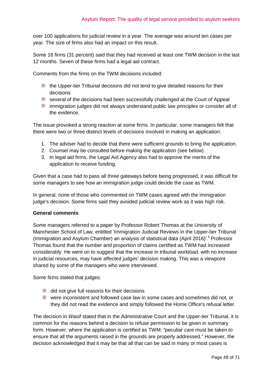over 100 applications for judicial review in a year. The average was around ten cases per year. The size of firms also had an impact on this result.

Some 16 firms (31 percent) said that they had received at least one TWM decision in the last 12 months. Seven of these firms had a legal aid contract.

Comments from the firms on the TWM decisions included:

- the Upper-tier Tribunal decisions did not tend to give detailed reasons for their decisions
- several of the decisions had been successfully challenged at the Court of Appeal
- immigration judges did not always understand public law principles or consider all of the evidence.

The issue provoked a strong reaction at some firms. In particular, some managers felt that there were two or three distinct levels of decisions involved in making an application:

- 1. The adviser had to decide that there were sufficient grounds to bring the application.
- 2. Counsel may be consulted before making the application (see below).
- 3. In legal aid firms, the Legal Aid Agency also had to approve the merits of the application to receive funding.

Given that a case had to pass all three gateways before being progressed, it was difficult for some managers to see how an immigration judge could decide the case as TWM.

In general, none of those who commented on TWM cases agreed with the immigration judge's decision. Some firms said they avoided judicial review work as it was high risk.

#### **General comments**

Some managers referred to a paper by Professor Robert Thomas at the University of Manchester School of Law, entitled 'Immigration Judicial Reviews in the Upper-tier Tribunal (Immigration and Asylum Chamber) an analysis of statistical data (April 2016)'.<sup>ii</sup> Professor Thomas found that the number and proportion of claims certified as TWM had increased considerably. He went on to suggest that the increase in tribunal workload, with no increase in judicial resources, may have affected judges' decision making. This was a viewpoint shared by some of the managers who were interviewed.

Some firms stated that judges:

- did not give full reasons for their decisions
- were inconsistent and followed case law in some cases and sometimes did not, or they did not read the evidence and simply followed the Home Office's refusal letter.

The decision in *Wasif* stated that in the Administrative Court and the Upper-tier Tribunal, it is common for the reasons behind a decision to refuse permission to be given in summary form. However, where the application is certified as TWM: "peculiar care must be taken to ensure that all the arguments raised in the grounds are properly addressed." However, the decision acknowledged that it may be that all that can be said in many or most cases is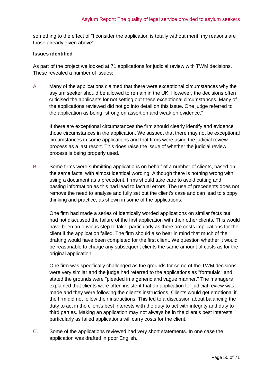something to the effect of "I consider the application is totally without merit: my reasons are those already given above".

#### **Issues identified**

As part of the project we looked at 71 applications for judicial review with TWM decisions. These revealed a number of issues:

A. Many of the applications claimed that there were exceptional circumstances why the asylum seeker should be allowed to remain in the UK. However, the decisions often criticised the applicants for not setting out these exceptional circumstances. Many of the applications reviewed did not go into detail on this issue. One judge referred to the application as being "strong on assertion and weak on evidence."

If there are exceptional circumstances the firm should clearly identify and evidence those circumstances in the application. We suspect that there may not be exceptional circumstances in some applications and that firms were using the judicial review process as a last resort. This does raise the issue of whether the judicial review process is being properly used.

B. Some firms were submitting applications on behalf of a number of clients, based on the same facts, with almost identical wording. Although there is nothing wrong with using a document as a precedent, firms should take care to avoid cutting and pasting information as this had lead to factual errors. The use of precedents does not remove the need to analyse and fully set out the client's case and can lead to sloppy thinking and practice, as shown in some of the applications.

One firm had made a series of identically worded applications on similar facts but had not discussed the failure of the first application with their other clients. This would have been an obvious step to take, particularly as there are costs implications for the client if the application failed. The firm should also bear in mind that much of the drafting would have been completed for the first client. We question whether it would be reasonable to charge any subsequent clients the same amount of costs as for the original application.

One firm was specifically challenged as the grounds for some of the TWM decisions were very similar and the judge had referred to the applications as "formulaic" and stated the grounds were "pleaded in a generic and vague manner." The managers explained that clients were often insistent that an application for judicial review was made and they were following the client's instructions. Clients would get emotional if the firm did not follow their instructions. This led to a discussion about balancing the duty to act in the client's best interests with the duty to act with integrity and duty to third parties. Making an application may not always be in the client's best interests, particularly as failed applications will carry costs for the client.

C. Some of the applications reviewed had very short statements. In one case the application was drafted in poor English.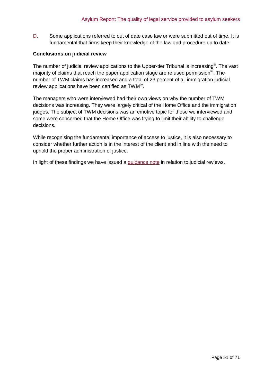D. Some applications referred to out of date case law or were submitted out of time. It is fundamental that firms keep their knowledge of the law and procedure up to date.

#### **Conclusions on judicial review**

The number of judicial review applications to the Upper-tier Tribunal is increasing<sup>ii</sup>. The vast majority of claims that reach the paper application stage are refused permission<sup>liii</sup>. The number of TWM claims has increased and a total of 23 percent of all immigration judicial review applications have been certified as TWM<sup>Iiv</sup>.

The managers who were interviewed had their own views on why the number of TWM decisions was increasing. They were largely critical of the Home Office and the immigration judges. The subject of TWM decisions was an emotive topic for those we interviewed and some were concerned that the Home Office was trying to limit their ability to challenge decisions.

While recognising the fundamental importance of access to justice, it is also necessary to consider whether further action is in the interest of the client and in line with the need to uphold the proper administration of justice.

In light of these findings we have issued a [guidance note](http://www.sra.org.uk/solicitors/code-of-conduct/guidance/guidance/Risk-factors-in-immigration-work.page) in relation to judicial reviews.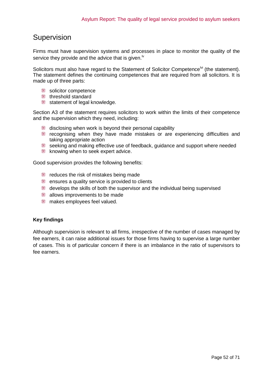## <span id="page-51-0"></span>Supervision

Firms must have supervision systems and processes in place to monitor the quality of the service they provide and the advice that is given.<sup> $N$ </sup>

Solicitors must also have regard to the Statement of Solicitor Competence<sup>lvi</sup> (the statement). The statement defines the continuing competences that are required from all solicitors. It is made up of three parts:

- solicitor competence
- threshold standard
- statement of legal knowledge.

Section A3 of the statement requires solicitors to work within the limits of their competence and the supervision which they need, including:

- disclosing when work is beyond their personal capability
- recognising when they have made mistakes or are experiencing difficulties and taking appropriate action
- seeking and making effective use of feedback, guidance and support where needed
- **knowing when to seek expert advice.**

Good supervision provides the following benefits:

- Fig. reduces the risk of mistakes being made
- **EXECUTE:** ensures a quality service is provided to clients
- develops the skills of both the supervisor and the individual being supervised
- **allows improvements to be made**
- **ME** makes employees feel valued.

#### **Key findings**

Although supervision is relevant to all firms, irrespective of the number of cases managed by fee earners, it can raise additional issues for those firms having to supervise a large number of cases. This is of particular concern if there is an imbalance in the ratio of supervisors to fee earners.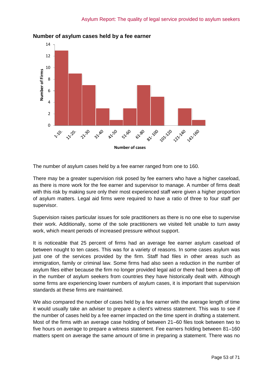

## **Number of asylum cases held by a fee earner**

The number of asylum cases held by a fee earner ranged from one to 160.

There may be a greater supervision risk posed by fee earners who have a higher caseload, as there is more work for the fee earner and supervisor to manage. A number of firms dealt with this risk by making sure only their most experienced staff were given a higher proportion of asylum matters. Legal aid firms were required to have a ratio of three to four staff per supervisor.

Supervision raises particular issues for sole practitioners as there is no one else to supervise their work. Additionally, some of the sole practitioners we visited felt unable to turn away work, which meant periods of increased pressure without support.

It is noticeable that 25 percent of firms had an average fee earner asylum caseload of between nought to ten cases. This was for a variety of reasons. In some cases asylum was just one of the services provided by the firm. Staff had files in other areas such as immigration, family or criminal law. Some firms had also seen a reduction in the number of asylum files either because the firm no longer provided legal aid or there had been a drop off in the number of asylum seekers from countries they have historically dealt with. Although some firms are experiencing lower numbers of asylum cases, it is important that supervision standards at these firms are maintained.

We also compared the number of cases held by a fee earner with the average length of time it would usually take an adviser to prepare a client's witness statement. This was to see if the number of cases held by a fee earner impacted on the time spent in drafting a statement. Most of the firms with an average case holding of between 21–60 files took between two to five hours on average to prepare a witness statement. Fee earners holding between 81–160 matters spent on average the same amount of time in preparing a statement. There was no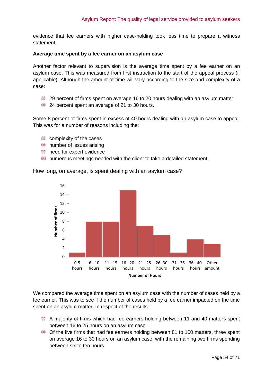evidence that fee earners with higher case-holding took less time to prepare a witness statement.

#### **Average time spent by a fee earner on an asylum case**

Another factor relevant to supervision is the average time spent by a fee earner on an asylum case. This was measured from first instruction to the start of the appeal process (if applicable). Although the amount of time will vary according to the size and complexity of a case:

- 29 percent of firms spent on average 16 to 20 hours dealing with an asylum matter
- $\frac{1}{24}$  24 percent spent an average of 21 to 30 hours.

Some 8 percent of firms spent in excess of 40 hours dealing with an asylum case to appeal. This was for a number of reasons including the:

- **EXECOMPLERITY OF the cases**
- **■** number of issues arising
- **need for expert evidence**
- numerous meetings needed with the client to take a detailed statement.

How long, on average, is spent dealing with an asylum case?



We compared the average time spent on an asylum case with the number of cases held by a fee earner. This was to see if the number of cases held by a fee earner impacted on the time spent on an asylum matter. In respect of the results:

- A majority of firms which had fee earners holding between 11 and 40 matters spent between 16 to 25 hours on an asylum case.
- Of the five firms that had fee earners holding between 81 to 100 matters, three spent on average 16 to 30 hours on an asylum case, with the remaining two firms spending between six to ten hours.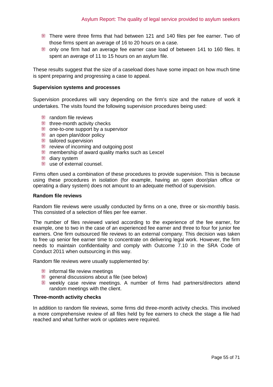- There were three firms that had between 121 and 140 files per fee earner. Two of those firms spent an average of 16 to 20 hours on a case.
- only one firm had an average fee earner case load of between 141 to 160 files. It spent an average of 11 to 15 hours on an asylum file.

These results suggest that the size of a caseload does have some impact on how much time is spent preparing and progressing a case to appeal.

#### **Supervision systems and processes**

Supervision procedures will vary depending on the firm's size and the nature of work it undertakes. The visits found the following supervision procedures being used:

- **Follow** random file reviews
- three-month activity checks
- **one-to-one support by a supervisor**
- **an open plan/door policy**
- tailored supervision
- **Fig. 2** review of incoming and outgoing post
- membership of award quality marks such as Lexcel
- diary system
- **use of external counsel.**

Firms often used a combination of these procedures to provide supervision. This is because using these procedures in isolation (for example, having an open door/plan office or operating a diary system) does not amount to an adequate method of supervision.

#### **Random file reviews**

Random file reviews were usually conducted by firms on a one, three or six-monthly basis. This consisted of a selection of files per fee earner.

The number of files reviewed varied according to the experience of the fee earner, for example, one to two in the case of an experienced fee earner and three to four for junior fee earners. One firm outsourced file reviews to an external company. This decision was taken to free up senior fee earner time to concentrate on delivering legal work. However, the firm needs to maintain confidentiality and comply with Outcome 7.10 in the SRA Code of Conduct 2011 when outsourcing in this way.

Random file reviews were usually supplemented by:

- **informal file review meetings**
- general discussions about a file (see below)
- weekly case review meetings. A number of firms had partners/directors attend random meetings with the client.

#### **Three-month activity checks**

In addition to random file reviews, some firms did three-month activity checks. This involved a more comprehensive review of all files held by fee earners to check the stage a file had reached and what further work or updates were required.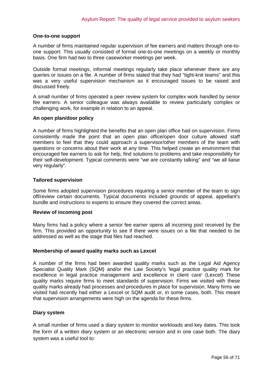#### **One-to-one support**

A number of firms maintained regular supervision of fee earners and matters through one-toone support. This usually consisted of formal one-to-one meetings on a weekly or monthly basis. One firm had two to three caseworker meetings per week.

Outside formal meetings, informal meetings regularly take place whenever there are any queries or issues on a file. A number of firms stated that they had "tight-knit teams" and this was a very useful supervision mechanism as it encouraged issues to be raised and discussed freely.

A small number of firms operated a peer review system for complex work handled by senior fee earners. A senior colleague was always available to review particularly complex or challenging work, for example in relation to an appeal.

#### **An open plan/door policy**

A number of firms highlighted the benefits that an open plan office had on supervision. Firms consistently made the point that an open plan office/open door culture allowed staff members to feel that they could approach a supervisor/other members of the team with questions or concerns about their work at any time. This helped create an environment that encouraged fee earners to ask for help, find solutions to problems and take responsibility for their self-development. Typical comments were "we are constantly talking" and "we all liaise very regularly".

#### **Tailored supervision**

Some firms adopted supervision procedures requiring a senior member of the team to sign off/review certain documents. Typical documents included grounds of appeal, appellant's bundle and instructions to experts to ensure they covered the correct areas.

#### **Review of incoming post**

Many firms had a policy where a senior fee earner opens all incoming post received by the firm. This provided an opportunity to see if there were issues on a file that needed to be addressed as well as the stage that files had reached.

#### **Membership of award quality marks such as Lexcel**

A number of the firms had been awarded quality marks such as the Legal Aid Agency Specialist Quality Mark (SQM) and/or the Law Society's 'legal practice quality mark for excellence in legal practice management and excellence in client care' (Lexcel) These quality marks require firms to meet standards of supervision. Firms we visited with these quality marks already had processes and procedures in place for supervision. Many firms we visited had recently had either a Lexcel or SQM audit or, in some cases, both. This meant that supervision arrangements were high on the agenda for these firms.

#### **Diary system**

A small number of firms used a diary system to monitor workloads and key dates. This took the form of a written diary system or an electronic version and in one case both. The diary system was a useful tool to: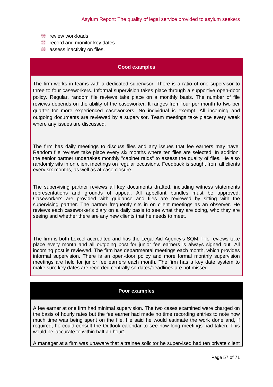- **Fig.** review workloads
- **Fig.** record and monitor key dates
- **assess inactivity on files.**

#### **Good examples**

The firm works in teams with a dedicated supervisor. There is a ratio of one supervisor to three to four caseworkers. Informal supervision takes place through a supportive open-door policy. Regular, random file reviews take place on a monthly basis. The number of file reviews depends on the ability of the caseworker. It ranges from four per month to two per quarter for more experienced caseworkers. No individual is exempt. All incoming and outgoing documents are reviewed by a supervisor. Team meetings take place every week where any issues are discussed.

The firm has daily meetings to discuss files and any issues that fee earners may have. Random file reviews take place every six months where ten files are selected. In addition, the senior partner undertakes monthly "cabinet raids" to assess the quality of files. He also randomly sits in on client meetings on regular occasions. Feedback is sought from all clients every six months, as well as at case closure.

The supervising partner reviews all key documents drafted, including witness statements representations and grounds of appeal. All appellant bundles must be approved. Caseworkers are provided with guidance and files are reviewed by sitting with the supervising partner. The partner frequently sits in on client meetings as an observer. He reviews each caseworker's diary on a daily basis to see what they are doing, who they are seeing and whether there are any new clients that he needs to meet.

The firm is both Lexcel accredited and has the Legal Aid Agency's SQM. File reviews take place every month and all outgoing post for junior fee earners is always signed out. All incoming post is reviewed. The firm has departmental meetings each month, which provides informal supervision. There is an open-door policy and more formal monthly supervision meetings are held for junior fee earners each month. The firm has a key date system to make sure key dates are recorded centrally so dates/deadlines are not missed.

#### **Poor examples**

A fee earner at one firm had minimal supervision. The two cases examined were charged on the basis of hourly rates but the fee earner had made no time recording entries to note how much time was being spent on the file. He said he would estimate the work done and, if required, he could consult the Outlook calendar to see how long meetings had taken. This would be 'accurate to within half an hour'.

A manager at a firm was unaware that a trainee solicitor he supervised had ten private client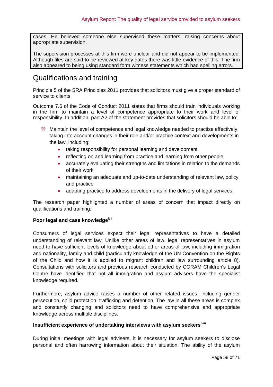cases. He believed someone else supervised these matters, raising concerns about appropriate supervision.

The supervision processes at this firm were unclear and did not appear to be implemented. Although files are said to be reviewed at key dates there was little evidence of this. The firm also appeared to being using standard form witness statements which had spelling errors.

## <span id="page-57-0"></span>Qualifications and training

Principle 5 of the SRA Principles 2011 provides that solicitors must give a proper standard of service to clients.

Outcome 7.6 of the Code of Conduct 2011 states that firms should train individuals working in the firm to maintain a level of competence appropriate to their work and level of responsibility. In addition, part A2 of the statement provides that solicitors should be able to:

- Maintain the level of competence and legal knowledge needed to practise effectively, taking into account changes in their role and/or practice context and developments in the law, including:
	- taking responsibility for personal learning and development
	- reflecting on and learning from practice and learning from other people
	- accurately evaluating their strengths and limitations in relation to the demands of their work
	- maintaining an adequate and up-to-date understanding of relevant law, policy and practice
	- adapting practice to address developments in the delivery of legal services.

The research paper highlighted a number of areas of concern that impact directly on qualifications and training:

#### **Poor legal and case knowledgelvii**

Consumers of legal services expect their legal representatives to have a detailed understanding of relevant law. Unlike other areas of law, legal representatives in asylum need to have sufficient levels of knowledge about other areas of law, including immigration and nationality, family and child (particularly knowledge of the UN Convention on the Rights of the Child and how it is applied to migrant children and law surrounding article 8). Consultations with solicitors and previous research conducted by CORAM Children's Legal Centre have identified that not all immigration and asylum advisers have the specialist knowledge required.

Furthermore, asylum advice raises a number of other related issues, including gender persecution, child protection, trafficking and detention. The law in all these areas is complex and constantly changing and solicitors need to have comprehensive and appropriate knowledge across multiple disciplines.

### **Insufficient experience of undertaking interviews with asylum seekerslviii**

During initial meetings with legal advisers, it is necessary for asylum seekers to disclose personal and often harrowing information about their situation. The ability of the asylum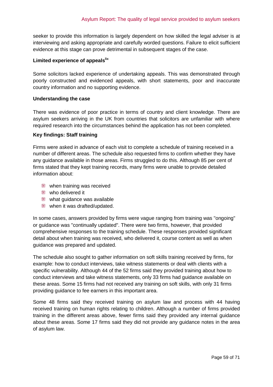seeker to provide this information is largely dependent on how skilled the legal adviser is at interviewing and asking appropriate and carefully worded questions. Failure to elicit sufficient evidence at this stage can prove detrimental in subsequent stages of the case.

### **Limited experience of appealslix**

Some solicitors lacked experience of undertaking appeals. This was demonstrated through poorly constructed and evidenced appeals, with short statements, poor and inaccurate country information and no supporting evidence.

#### **Understanding the case**

There was evidence of poor practice in terms of country and client knowledge. There are asylum seekers arriving in the UK from countries that solicitors are unfamiliar with where required research into the circumstances behind the application has not been completed.

#### **Key findings: Staff training**

Firms were asked in advance of each visit to complete a schedule of training received in a number of different areas. The schedule also requested firms to confirm whether they have any guidance available in those areas. Firms struggled to do this. Although 85 per cent of firms stated that they kept training records, many firms were unable to provide detailed information about:

- **Went training was received**
- **Who delivered it**
- What quidance was available
- **Wen** it was drafted/updated.

In some cases, answers provided by firms were vague ranging from training was "ongoing" or guidance was "continually updated". There were two firms, however, that provided comprehensive responses to the training schedule. These responses provided significant detail about when training was received, who delivered it, course content as well as when guidance was prepared and updated.

The schedule also sought to gather information on soft skills training received by firms, for example: how to conduct interviews, take witness statements or deal with clients with a specific vulnerability. Although 44 of the 52 firms said they provided training about how to conduct interviews and take witness statements, only 33 firms had guidance available on these areas. Some 15 firms had not received any training on soft skills, with only 31 firms providing guidance to fee earners in this important area.

Some 48 firms said they received training on asylum law and process with 44 having received training on human rights relating to children. Although a number of firms provided training in the different areas above, fewer firms said they provided any internal guidance about these areas. Some 17 firms said they did not provide any guidance notes in the area of asylum law.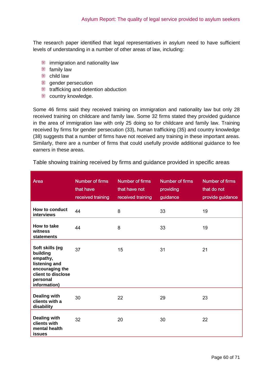The research paper identified that legal representatives in asylum need to have sufficient levels of understanding in a number of other areas of law, including:

- **illumigration and nationality law**
- **family law**
- **to child law**
- gender persecution
- trafficking and detention abduction
- country knowledge.

Some 46 firms said they received training on immigration and nationality law but only 28 received training on childcare and family law. Some 32 firms stated they provided guidance in the area of immigration law with only 25 doing so for childcare and family law. Training received by firms for gender persecution (33), human trafficking (35) and country knowledge (38) suggests that a number of firms have not received any training in these important areas. Similarly, there are a number of firms that could usefully provide additional guidance to fee earners in these areas.

Table showing training received by firms and guidance provided in specific areas

| Area                                                                                                                          | Number of firms<br>that have<br>received training | Number of firms<br>that have not<br>received training | Number of firms<br>providing<br>guidance | Number of firms<br>that do not<br>provide guidance |
|-------------------------------------------------------------------------------------------------------------------------------|---------------------------------------------------|-------------------------------------------------------|------------------------------------------|----------------------------------------------------|
| How to conduct<br>interviews                                                                                                  | 44                                                | 8                                                     | 33                                       | 19                                                 |
| How to take<br>witness<br>statements                                                                                          | 44                                                | 8                                                     | 33                                       | 19                                                 |
| Soft skills (eg<br>building<br>empathy,<br>listening and<br>encouraging the<br>client to disclose<br>personal<br>information) | 37                                                | 15                                                    | 31                                       | 21                                                 |
| <b>Dealing with</b><br>clients with a<br>disability                                                                           | 30                                                | 22                                                    | 29                                       | 23                                                 |
| <b>Dealing with</b><br>clients with<br>mental health<br><b>issues</b>                                                         | 32                                                | 20                                                    | 30                                       | 22                                                 |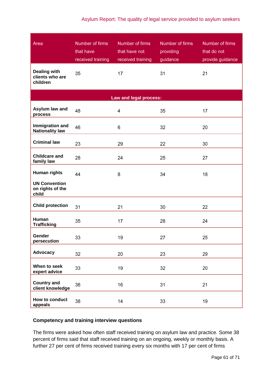### Asylum Report: The quality of legal service provided to asylum seekers

| Area<br><b>Dealing with</b>                       | Number of firms<br>that have<br>received training<br>35 | Number of firms<br>that have not<br>received training<br>17 | Number of firms<br>providing<br>guidance<br>31 | Number of firms<br>that do not<br>provide guidance<br>21 |
|---------------------------------------------------|---------------------------------------------------------|-------------------------------------------------------------|------------------------------------------------|----------------------------------------------------------|
| clients who are<br>children                       |                                                         |                                                             |                                                |                                                          |
|                                                   |                                                         | Law and legal process:                                      |                                                |                                                          |
| Asylum law and<br>process                         | 48                                                      | 4                                                           | 35                                             | 17                                                       |
| Immigration and<br><b>Nationality law</b>         | 46                                                      | 6                                                           | 32                                             | 20                                                       |
| <b>Criminal law</b>                               | 23                                                      | 29                                                          | 22                                             | 30                                                       |
| <b>Childcare and</b><br>family law                | 28                                                      | 24                                                          | 25                                             | 27                                                       |
| <b>Human rights</b>                               | 44                                                      | 8                                                           | 34                                             | 18                                                       |
| <b>UN Convention</b><br>on rights of the<br>child |                                                         |                                                             |                                                |                                                          |
| <b>Child protection</b>                           | 31                                                      | 21                                                          | 30                                             | 22                                                       |
| Human<br><b>Trafficking</b>                       | 35                                                      | 17                                                          | 28                                             | 24                                                       |
| Gender<br>persecution                             | 33                                                      | 19                                                          | 27                                             | 25                                                       |
| Advocacy                                          | 32                                                      | 20                                                          | 23                                             | 29                                                       |
| When to seek<br>expert advice                     | 33                                                      | 19                                                          | 32                                             | 20                                                       |
| <b>Country and</b><br>client knowledge            | 36                                                      | 16                                                          | 31                                             | 21                                                       |
| How to conduct<br>appeals                         | 38                                                      | 14                                                          | 33                                             | 19                                                       |

## **Competency and training interview questions**

The firms were asked how often staff received training on asylum law and practice. Some 38 percent of firms said that staff received training on an ongoing, weekly or monthly basis. A further 27 per cent of firms received training every six months with 17 per cent of firms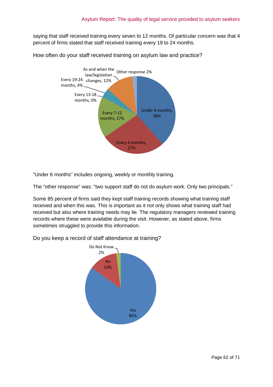saying that staff received training every seven to 12 months. Of particular concern was that 4 percent of firms stated that staff received training every 19 to 24 months.

How often do your staff received training on asylum law and practice?



"Under 6 months'' includes ongoing, weekly or monthly training.

The "other response" was: "two support staff do not do asylum work. Only two principals."

Some 85 percent of firms said they kept staff training records showing what training staff received and when this was. This is important as it not only shows what training staff had received but also where training needs may lie. The regulatory managers reviewed training records where these were available during the visit. However, as stated above, firms sometimes struggled to provide this information.



Do you keep a record of staff attendance at training?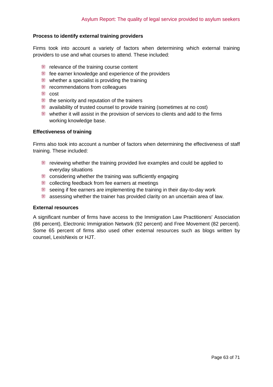#### **Process to identify external training providers**

Firms took into account a variety of factors when determining which external training providers to use and what courses to attend. These included:

- Fig. relevance of the training course content
- fee earner knowledge and experience of the providers
- whether a specialist is providing the training
- **Fig.** recommendations from colleagues
- **example** cost
- the seniority and reputation of the trainers
- availability of trusted counsel to provide training (sometimes at no cost)
- whether it will assist in the provision of services to clients and add to the firms working knowledge base.

#### **Effectiveness of training**

Firms also took into account a number of factors when determining the effectiveness of staff training. These included:

- reviewing whether the training provided live examples and could be applied to everyday situations
- considering whether the training was sufficiently engaging
- collecting feedback from fee earners at meetings
- seeing if fee earners are implementing the training in their day-to-day work
- assessing whether the trainer has provided clarity on an uncertain area of law.

#### **External resources**

A significant number of firms have access to the Immigration Law Practitioners' Association (86 percent), Electronic Immigration Network (92 percent) and Free Movement (82 percent). Some 65 percent of firms also used other external resources such as blogs written by counsel, LexisNexis or HJT.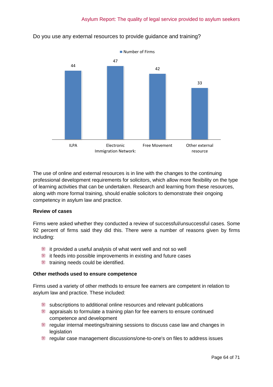

## Do you use any external resources to provide guidance and training?

The use of online and external resources is in line with the changes to the continuing professional development requirements for solicitors, which allow more flexibility on the type of learning activities that can be undertaken. Research and learning from these resources, along with more formal training, should enable solicitors to demonstrate their ongoing competency in asylum law and practice.

### **Review of cases**

Firms were asked whether they conducted a review of successful/unsuccessful cases. Some 92 percent of firms said they did this. There were a number of reasons given by firms including:

- it provided a useful analysis of what went well and not so well
- it feeds into possible improvements in existing and future cases
- training needs could be identified.

#### **Other methods used to ensure competence**

Firms used a variety of other methods to ensure fee earners are competent in relation to asylum law and practice. These included:

- subscriptions to additional online resources and relevant publications
- appraisals to formulate a training plan for fee earners to ensure continued competence and development
- regular internal meetings/training sessions to discuss case law and changes in **legislation**
- regular case management discussions/one-to-one's on files to address issues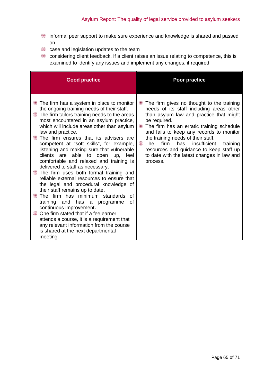- informal peer support to make sure experience and knowledge is shared and passed on
- case and legislation updates to the team
- considering client feedback. If a client raises an issue relating to competence, this is examined to identify any issues and implement any changes, if required.

| <b>Good practice</b>                                                                                                                                                                                                                                                                                                                                                                                                                                                                                                                                                                                                                                                                                                                                                                                                                                                                                                                                                                           | Poor practice                                                                                                                                                                                                                                                                                                                                                                                                                                             |
|------------------------------------------------------------------------------------------------------------------------------------------------------------------------------------------------------------------------------------------------------------------------------------------------------------------------------------------------------------------------------------------------------------------------------------------------------------------------------------------------------------------------------------------------------------------------------------------------------------------------------------------------------------------------------------------------------------------------------------------------------------------------------------------------------------------------------------------------------------------------------------------------------------------------------------------------------------------------------------------------|-----------------------------------------------------------------------------------------------------------------------------------------------------------------------------------------------------------------------------------------------------------------------------------------------------------------------------------------------------------------------------------------------------------------------------------------------------------|
| The firm has a system in place to monitor<br>the ongoing training needs of their staff.<br>The firm tailors training needs to the areas<br>most encountered in an asylum practice,<br>which will include areas other than asylum<br>law and practice.<br>The firm ensures that its advisers are<br>competent at "soft skills", for example,<br>listening and making sure that vulnerable<br>clients are able to open<br>feel<br>up,<br>comfortable and relaxed and training is<br>delivered to staff as necessary.<br>The firm uses both formal training and<br>reliable external resources to ensure that<br>the legal and procedural knowledge of<br>their staff remains up to date.<br>The firm has minimum standards<br>Ωf<br>οf<br>training<br>and<br>has a programme<br>continuous improvement.<br>One firm stated that if a fee earner<br>e<br>attends a course, it is a requirement that<br>any relevant information from the course<br>is shared at the next departmental<br>meeting. | The firm gives no thought to the training<br>₩<br>needs of its staff including areas other<br>than asylum law and practice that might<br>be required.<br>W<br>The firm has an erratic training schedule<br>and fails to keep any records to monitor<br>the training needs of their staff.<br><b>■ The</b><br>firm<br>has<br>insufficient<br>training<br>resources and guidance to keep staff up<br>to date with the latest changes in law and<br>process. |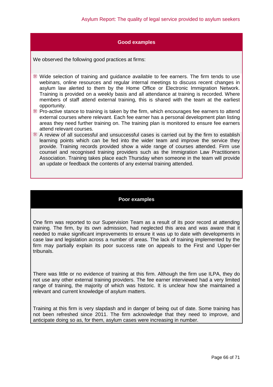#### **Good examples**

We observed the following good practices at firms:

Wide selection of training and guidance available to fee earners. The firm tends to use webinars, online resources and regular internal meetings to discuss recent changes in asylum law alerted to them by the Home Office or Electronic Immigration Network. Training is provided on a weekly basis and all attendance at training is recorded. Where members of staff attend external training, this is shared with the team at the earliest opportunity.

- Pro-active stance to training is taken by the firm, which encourages fee earners to attend external courses where relevant. Each fee earner has a personal development plan listing areas they need further training on. The training plan is monitored to ensure fee earners attend relevant courses.
- A review of all successful and unsuccessful cases is carried out by the firm to establish learning points which can be fed into the wider team and improve the service they provide. Training records provided show a wide range of courses attended. Firm use counsel and recognised training providers such as the Immigration Law Practitioners Association. Training takes place each Thursday when someone in the team will provide an update or feedback the contents of any external training attended.

#### **Poor examples**

One firm was reported to our Supervision Team as a result of its poor record at attending training. The firm, by its own admission, had neglected this area and was aware that it needed to make significant improvements to ensure it was up to date with developments in case law and legislation across a number of areas. The lack of training implemented by the firm may partially explain its poor success rate on appeals to the First and Upper-tier tribunals.

There was little or no evidence of training at this firm. Although the firm use ILPA, they do not use any other external training providers. The fee earner interviewed had a very limited range of training, the majority of which was historic. It is unclear how she maintained a relevant and current knowledge of asylum matters.

Training at this firm is very slapdash and in danger of being out of date. Some training has not been refreshed since 2011. The firm acknowledge that they need to improve, and anticipate doing so as, for them, asylum cases were increasing in number.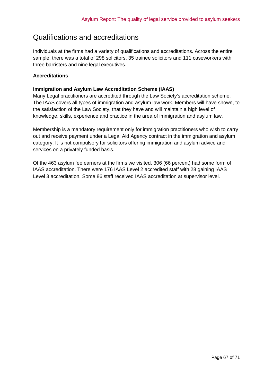## Qualifications and accreditations

Individuals at the firms had a variety of qualifications and accreditations. Across the entire sample, there was a total of 298 solicitors, 35 trainee solicitors and 111 caseworkers with three barristers and nine legal executives.

### **Accreditations**

#### **Immigration and Asylum Law Accreditation Scheme (IAAS)**

Many Legal practitioners are accredited through the Law Society's accreditation scheme. The IAAS covers all types of immigration and asylum law work. Members will have shown, to the satisfaction of the Law Society, that they have and will maintain a high level of knowledge, skills, experience and practice in the area of immigration and asylum law.

Membership is a mandatory requirement only for immigration practitioners who wish to carry out and receive payment under a Legal Aid Agency contract in the immigration and asylum category. It is not compulsory for solicitors offering immigration and asylum advice and services on a privately funded basis.

Of the 463 asylum fee earners at the firms we visited, 306 (66 percent) had some form of IAAS accreditation. There were 176 IAAS Level 2 accredited staff with 28 gaining IAAS Level 3 accreditation. Some 86 staff received IAAS accreditation at supervisor level.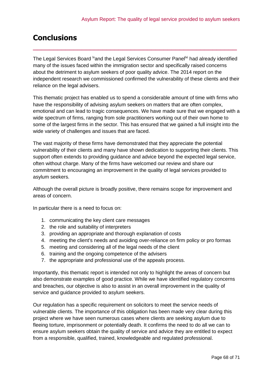## <span id="page-67-0"></span>**Conclusions**

The Legal Services Board <sup>1x</sup>and the Legal Services Consumer Panel<sup>lxi</sup> had already identified many of the issues faced within the immigration sector and specifically raised concerns about the detriment to asylum seekers of poor quality advice. The 2014 report on the independent research we commissioned confirmed the vulnerability of these clients and their reliance on the legal advisers.

\_\_\_\_\_\_\_\_\_\_\_\_\_\_\_\_\_\_\_\_\_\_\_\_\_\_\_\_\_\_\_\_\_\_\_\_\_\_\_\_\_\_\_\_\_\_\_\_\_\_

This thematic project has enabled us to spend a considerable amount of time with firms who have the responsibility of advising asylum seekers on matters that are often complex, emotional and can lead to tragic consequences. We have made sure that we engaged with a wide spectrum of firms, ranging from sole practitioners working out of their own home to some of the largest firms in the sector. This has ensured that we gained a full insight into the wide variety of challenges and issues that are faced.

The vast majority of these firms have demonstrated that they appreciate the potential vulnerability of their clients and many have shown dedication to supporting their clients. This support often extends to providing guidance and advice beyond the expected legal service, often without charge. Many of the firms have welcomed our review and share our commitment to encouraging an improvement in the quality of legal services provided to asylum seekers.

Although the overall picture is broadly positive, there remains scope for improvement and areas of concern.

In particular there is a need to focus on:

- 1. communicating the key client care messages
- 2. the role and suitability of interpreters
- 3. providing an appropriate and thorough explanation of costs
- 4. meeting the client's needs and avoiding over-reliance on firm policy or pro formas
- 5. meeting and considering all of the legal needs of the client
- 6. training and the ongoing competence of the advisers
- 7. the appropriate and professional use of the appeals process.

Importantly, this thematic report is intended not only to highlight the areas of concern but also demonstrate examples of good practice. While we have identified regulatory concerns and breaches, our objective is also to assist in an overall improvement in the quality of service and guidance provided to asylum seekers.

Our regulation has a specific requirement on solicitors to meet the service needs of vulnerable clients. The importance of this obligation has been made very clear during this project where we have seen numerous cases where clients are seeking asylum due to fleeing torture, imprisonment or potentially death. It confirms the need to do all we can to ensure asylum seekers obtain the quality of service and advice they are entitled to expect from a responsible, qualified, trained, knowledgeable and regulated professional.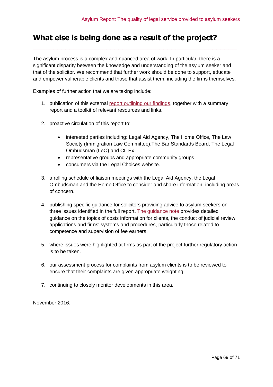## <span id="page-68-0"></span>**What else is being done as a result of the project?**

The asylum process is a complex and nuanced area of work. In particular, there is a significant disparity between the knowledge and understanding of the asylum seeker and that of the solicitor. We recommend that further work should be done to support, educate and empower vulnerable clients and those that assist them, including the firms themselves.

\_\_\_\_\_\_\_\_\_\_\_\_\_\_\_\_\_\_\_\_\_\_\_\_\_\_\_\_\_\_\_\_\_\_\_\_\_\_\_\_\_\_\_\_\_\_\_\_\_\_

Examples of further action that we are taking include:

- 1. publication of this external [report outlining our findings,](http://www.sra.org.uk/sra/how-we-work/reports/asylum-seekers-report.page#findings) together with a summary report and a toolkit of relevant resources and links.
- 2. proactive circulation of this report to:
	- interested parties including: Legal Aid Agency, The Home Office, The Law Society (Immigration Law Committee),The Bar Standards Board, The Legal Ombudsman (LeO) and CILEx
	- representative groups and appropriate community groups
	- consumers via the Legal Choices website.
- 3. a rolling schedule of liaison meetings with the Legal Aid Agency, the Legal Ombudsman and the Home Office to consider and share information, including areas of concern.
- 4. publishing specific guidance for solicitors providing advice to asylum seekers on three issues identified in the full report. [The guidance note](http://www.sra.org.uk/solicitors/code-of-conduct/guidance/guidance/Risk-factors-in-immigration-work.page) provides detailed guidance on the topics of costs information for clients, the conduct of judicial review applications and firms' systems and procedures, particularly those related to competence and supervision of fee earners.
- 5. where issues were highlighted at firms as part of the project further regulatory action is to be taken.
- 6. our assessment process for complaints from asylum clients is to be reviewed to ensure that their complaints are given appropriate weighting.
- 7. continuing to closely monitor developments in this area.

November 2016.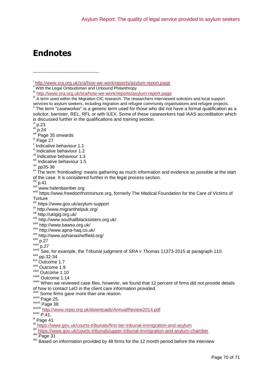# <span id="page-69-0"></span>**Endnotes**

 $\frac{v_i}{v_i}$  p.23

-

ix Page 27

- xi Indicative behaviour 1.2
- xii Indicative behaviour 1.3
- xiii Indicative behaviour 1.5

xiv pp35-36

<sup>xv</sup> The term 'frontloading' means gathering as much information and evidence as possible at the start of the case. It is considered further in the legal process section.

 $\frac{xy_1}{xy_1}p.41$ 

www.helenbamber.org

xviii https://www.freedomfromtorture.org, formerly The Medical Foundation for the Care of Victims of **Torture** 

- xix https://www.gov.uk/asylum-support
- xx http://www.migranthelpuk.org/
- xxi http://uklgig.org.uk/
- xxii http://www.southallblacksisters.org.uk/
- xxiii http://www.bawso.org.uk/
- xxiv http://www.apna-haq.co.uk/
- xxv http://www.ashianasheffield.org/
- $xxi \over xxi \overline{x}$ <br> $xxi \overline{y}$

 $\overline{p}$ .27

- $\frac{3}{2}$  pp.32-34
- xxx Outcome 1.7
- xxxi Outcome 1.9

xxxii Outcome 1.10

xxxiii Outcome 1.14

**xxx** Some firms gave more than one reason.

xxxvi Page 25.

xxxvii Page 38

xxxviii <http://www.nrpsi.org.uk/downloads/AnnualReview2014.pdf>

 $\overline{P.41}$ .

xl Page 41

i <http://www.sra.org.uk/sra/how-we-work/reports/asylum-report.page>

<sup>&</sup>quot;With the Legal Ombudsman and Unbound Philanthropy

iii <http://www.sra.org.uk/sra/how-we-work/reports/asylum-report.page>

iv A term used within the Migration CIC research. The researchers interviewed solicitors and local support services to asylum seekers, including migration and refugee community organisations and refugee projects.

v The term "caseworker" is a generic term used for those who did not have a formal qualification as a solicitor, barrister, REL, RFL or with ILEX. Some of these caseworkers had IAAS accreditation which is discussed further in the qualifications and training section.

 $p.24$ 

 $v^{\text{max}}$  Page 35 onwards

x Indicative behaviour 1.1

xxviii See, for example, the Tribunal judgment of *SRA v Thomas* 11373-2015 at paragraph 110.

xxxiv When we reviewed case files, however, we found that 12 percent of firms did not provide details of how to contact LeO in the client care information provided.

xli <https://www.gov.uk/courts-tribunals/first-tier-tribunal-immigration-and-asylum>

xlii <https://www.gov.uk/courts-tribunals/upper-tribunal-immigration-and-asylum-chamber>

xliii Page 31

xliv Based on information provided by 48 firms for the 12 month period before the interview